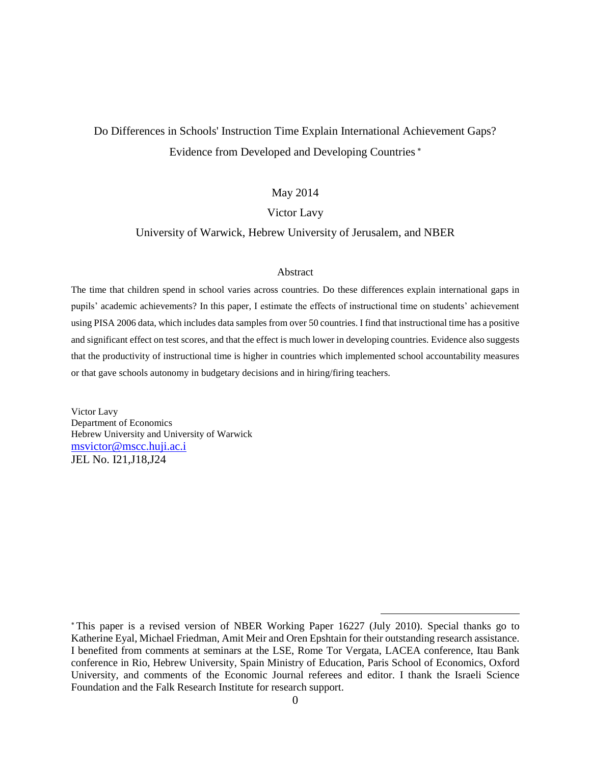# Do Differences in Schools' Instruction Time Explain International Achievement Gaps? Evidence from Developed and Developing Countries

### May 2014

## Victor Lavy

#### University of Warwick, Hebrew University of Jerusalem, and NBER

## Abstract

The time that children spend in school varies across countries. Do these differences explain international gaps in pupils' academic achievements? In this paper, I estimate the effects of instructional time on students' achievement using PISA 2006 data, which includes data samples from over 50 countries. I find that instructional time has a positive and significant effect on test scores, and that the effect is much lower in developing countries. Evidence also suggests that the productivity of instructional time is higher in countries which implemented school accountability measures or that gave schools autonomy in budgetary decisions and in hiring/firing teachers.

Victor Lavy Department of Economics Hebrew University and University of Warwick [msvictor@mscc.huji.ac.i](mailto:msvictor@mscc.huji.ac.i) JEL No. I21,J18,J24

This paper is a revised version of NBER Working Paper 16227 (July 2010). Special thanks go to Katherine Eyal, Michael Friedman, Amit Meir and Oren Epshtain for their outstanding research assistance. I benefited from comments at seminars at the LSE, Rome Tor Vergata, LACEA conference, Itau Bank conference in Rio, Hebrew University, Spain Ministry of Education, Paris School of Economics, Oxford University, and comments of the Economic Journal referees and editor. I thank the Israeli Science Foundation and the Falk Research Institute for research support.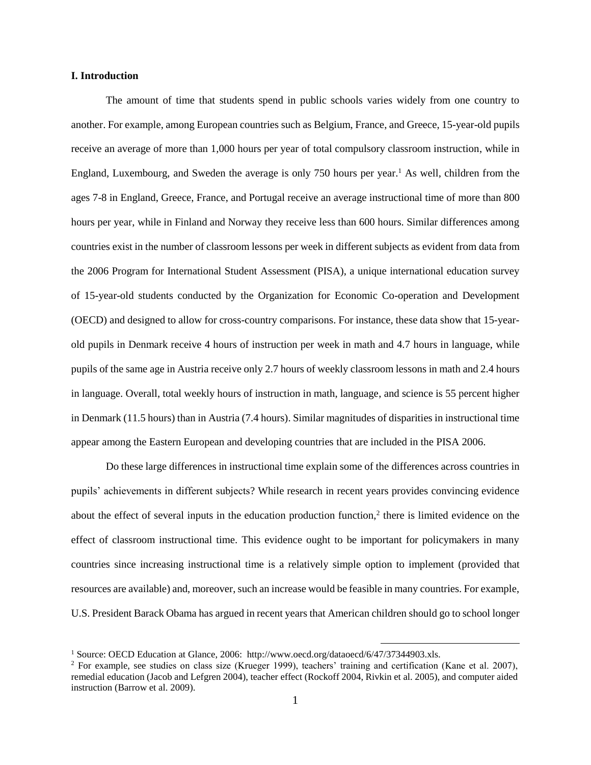#### **I. Introduction**

The amount of time that students spend in public schools varies widely from one country to another. For example, among European countries such as Belgium, France, and Greece, 15-year-old pupils receive an average of more than 1,000 hours per year of total compulsory classroom instruction, while in England, Luxembourg, and Sweden the average is only 750 hours per year.<sup>1</sup> As well, children from the ages 7-8 in England, Greece, France, and Portugal receive an average instructional time of more than 800 hours per year, while in Finland and Norway they receive less than 600 hours. Similar differences among countries exist in the number of classroom lessons per week in different subjects as evident from data from the 2006 Program for International Student Assessment (PISA), a unique international education survey of 15-year-old students conducted by the Organization for Economic Co-operation and Development (OECD) and designed to allow for cross-country comparisons. For instance, these data show that 15-yearold pupils in Denmark receive 4 hours of instruction per week in math and 4.7 hours in language, while pupils of the same age in Austria receive only 2.7 hours of weekly classroom lessons in math and 2.4 hours in language. Overall, total weekly hours of instruction in math, language, and science is 55 percent higher in Denmark (11.5 hours) than in Austria (7.4 hours). Similar magnitudes of disparities in instructional time appear among the Eastern European and developing countries that are included in the PISA 2006.

Do these large differences in instructional time explain some of the differences across countries in pupils' achievements in different subjects? While research in recent years provides convincing evidence about the effect of several inputs in the education production function,<sup>2</sup> there is limited evidence on the effect of classroom instructional time. This evidence ought to be important for policymakers in many countries since increasing instructional time is a relatively simple option to implement (provided that resources are available) and, moreover, such an increase would be feasible in many countries. For example, U.S[. President](http://news.yahoo.com/s/mcclatchy/20090310/pl_mcclatchy/3185580_1#_blank) Barack Obama has argued in recent years that American children should go to school longer

<sup>1</sup> Source: OECD Education at Glance, 2006: http://www.oecd.org/dataoecd/6/47/37344903.xls.

<sup>&</sup>lt;sup>2</sup> For example, see studies on class size (Krueger 1999), teachers' training and certification (Kane et al. 2007), remedial education (Jacob and Lefgren 2004), teacher effect (Rockoff 2004, Rivkin et al. 2005), and computer aided instruction (Barrow et al. 2009).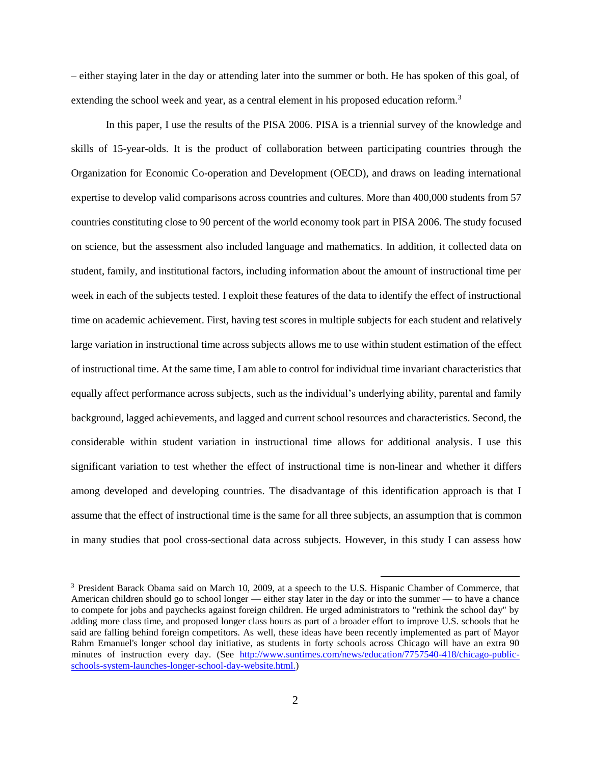– either staying later in the day or attending later into the summer or both. He has spoken of this goal, of extending the school week and year, as a central element in his proposed education reform.<sup>3</sup>

In this paper, I use the results of the PISA 2006. PISA is a triennial survey of the knowledge and skills of 15-year-olds. It is the product of collaboration between participating countries through the Organization for Economic Co-operation and Development (OECD), and draws on leading international expertise to develop valid comparisons across countries and cultures. More than 400,000 students from 57 countries constituting close to 90 percent of the world economy took part in PISA 2006. The study focused on science, but the assessment also included language and mathematics. In addition, it collected data on student, family, and institutional factors, including information about the amount of instructional time per week in each of the subjects tested. I exploit these features of the data to identify the effect of instructional time on academic achievement. First, having test scores in multiple subjects for each student and relatively large variation in instructional time across subjects allows me to use within student estimation of the effect of instructional time. At the same time, I am able to control for individual time invariant characteristics that equally affect performance across subjects, such as the individual's underlying ability, parental and family background, lagged achievements, and lagged and current school resources and characteristics. Second, the considerable within student variation in instructional time allows for additional analysis. I use this significant variation to test whether the effect of instructional time is non-linear and whether it differs among developed and developing countries. The disadvantage of this identification approach is that I assume that the effect of instructional time is the same for all three subjects, an assumption that is common in many studies that pool cross-sectional data across subjects. However, in this study I can assess how

<sup>&</sup>lt;sup>3</sup> [President](http://news.yahoo.com/s/mcclatchy/20090310/pl_mcclatchy/3185580_1#_blank) Barack Obama said on March 10, 2009, at a speech to the U.S. Hispanic Chamber of Commerce, that American children should go to school longer — either stay later in the day or into the summer — to have a chance to compete for jobs and paychecks against foreign children. He urged administrators to "rethink the school day" by adding more class time, and proposed longer class hours as part of a broader effort to improve U.S. schools that he said are falling behind foreign competitors. As well, these ideas have been recently implemented as part of Mayor Rahm Emanuel's longer school day initiative, as students in forty schools across Chicago will have an extra 90 minutes of instruction every day. (See http://www.suntimes.com/news/education/7757540-418/chicago-publicschools-system-launches-longer-school-day-website.html.)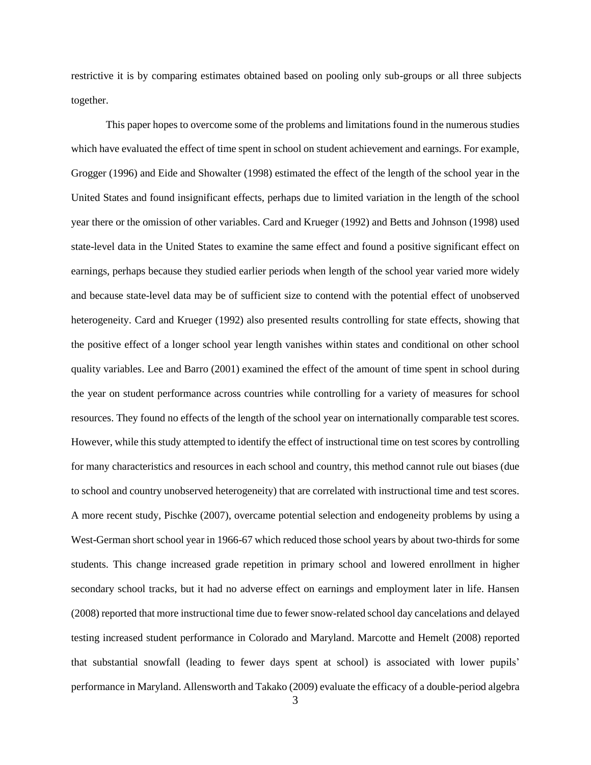restrictive it is by comparing estimates obtained based on pooling only sub-groups or all three subjects together.

This paper hopes to overcome some of the problems and limitations found in the numerous studies which have evaluated the effect of time spent in school on student achievement and earnings. For example, Grogger (1996) and Eide and Showalter (1998) estimated the effect of the length of the school year in the United States and found insignificant effects, perhaps due to limited variation in the length of the school year there or the omission of other variables. Card and Krueger (1992) and Betts and Johnson (1998) used state-level data in the United States to examine the same effect and found a positive significant effect on earnings, perhaps because they studied earlier periods when length of the school year varied more widely and because state-level data may be of sufficient size to contend with the potential effect of unobserved heterogeneity. Card and Krueger (1992) also presented results controlling for state effects, showing that the positive effect of a longer school year length vanishes within states and conditional on other school quality variables. Lee and Barro (2001) examined the effect of the amount of time spent in school during the year on student performance across countries while controlling for a variety of measures for school resources. They found no effects of the length of the school year on internationally comparable test scores. However, while this study attempted to identify the effect of instructional time on test scores by controlling for many characteristics and resources in each school and country, this method cannot rule out biases (due to school and country unobserved heterogeneity) that are correlated with instructional time and test scores. A more recent study, Pischke (2007), overcame potential selection and endogeneity problems by using a West-German short school year in 1966-67 which reduced those school years by about two-thirds for some students. This change increased grade repetition in primary school and lowered enrollment in higher secondary school tracks, but it had no adverse effect on earnings and employment later in life. Hansen (2008) reported that more instructional time due to fewer snow-related school day cancelations and delayed testing increased student performance in Colorado and Maryland. Marcotte and Hemelt (2008) reported that substantial snowfall (leading to fewer days spent at school) is associated with lower pupils' performance in Maryland. Allensworth and Takako (2009) evaluate the efficacy of a double-period algebra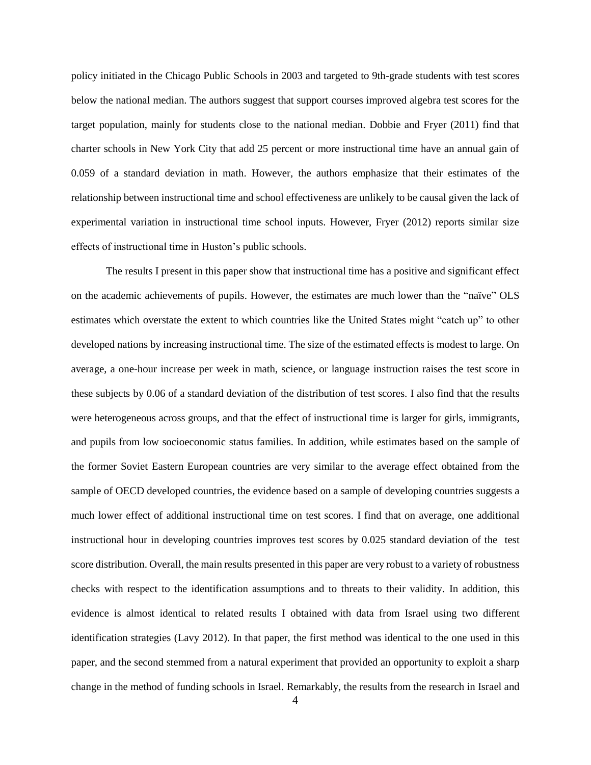policy initiated in the Chicago Public Schools in 2003 and targeted to 9th-grade students with test scores below the national median. The authors suggest that support courses improved algebra test scores for the target population, mainly for students close to the national median. Dobbie and Fryer (2011) find that charter schools in New York City that add 25 percent or more instructional time have an annual gain of 0.059 of a standard deviation in math. However, the authors emphasize that their estimates of the relationship between instructional time and school effectiveness are unlikely to be causal given the lack of experimental variation in instructional time school inputs. However, Fryer (2012) reports similar size effects of instructional time in Huston's public schools.

The results I present in this paper show that instructional time has a positive and significant effect on the academic achievements of pupils. However, the estimates are much lower than the "naïve" OLS estimates which overstate the extent to which countries like the United States might "catch up" to other developed nations by increasing instructional time. The size of the estimated effects is modest to large. On average, a one-hour increase per week in math, science, or language instruction raises the test score in these subjects by 0.06 of a standard deviation of the distribution of test scores. I also find that the results were heterogeneous across groups, and that the effect of instructional time is larger for girls, immigrants, and pupils from low socioeconomic status families. In addition, while estimates based on the sample of the former Soviet Eastern European countries are very similar to the average effect obtained from the sample of OECD developed countries, the evidence based on a sample of developing countries suggests a much lower effect of additional instructional time on test scores. I find that on average, one additional instructional hour in developing countries improves test scores by 0.025 standard deviation of the test score distribution. Overall, the main results presented in this paper are very robust to a variety of robustness checks with respect to the identification assumptions and to threats to their validity. In addition, this evidence is almost identical to related results I obtained with data from Israel using two different identification strategies (Lavy 2012). In that paper, the first method was identical to the one used in this paper, and the second stemmed from a natural experiment that provided an opportunity to exploit a sharp change in the method of funding schools in Israel. Remarkably, the results from the research in Israel and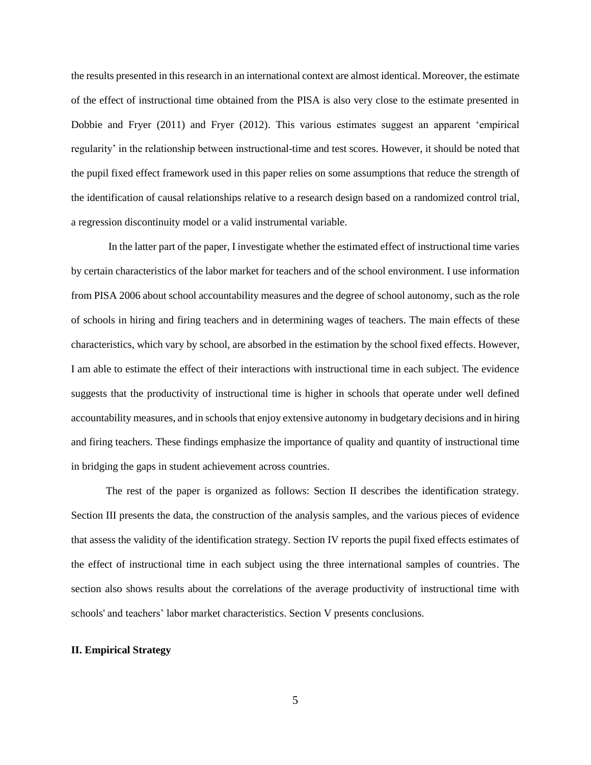the results presented in this research in an international context are almost identical. Moreover, the estimate of the effect of instructional time obtained from the PISA is also very close to the estimate presented in Dobbie and Fryer (2011) and Fryer (2012). This various estimates suggest an apparent 'empirical regularity' in the relationship between instructional-time and test scores. However, it should be noted that the pupil fixed effect framework used in this paper relies on some assumptions that reduce the strength of the identification of causal relationships relative to a research design based on a randomized control trial, a regression discontinuity model or a valid instrumental variable.

In the latter part of the paper, I investigate whether the estimated effect of instructional time varies by certain characteristics of the labor market for teachers and of the school environment. I use information from PISA 2006 about school accountability measures and the degree of school autonomy, such as the role of schools in hiring and firing teachers and in determining wages of teachers. The main effects of these characteristics, which vary by school, are absorbed in the estimation by the school fixed effects. However, I am able to estimate the effect of their interactions with instructional time in each subject. The evidence suggests that the productivity of instructional time is higher in schools that operate under well defined accountability measures, and in schools that enjoy extensive autonomy in budgetary decisions and in hiring and firing teachers. These findings emphasize the importance of quality and quantity of instructional time in bridging the gaps in student achievement across countries.

The rest of the paper is organized as follows: Section II describes the identification strategy. Section III presents the data, the construction of the analysis samples, and the various pieces of evidence that assess the validity of the identification strategy. Section IV reports the pupil fixed effects estimates of the effect of instructional time in each subject using the three international samples of countries. The section also shows results about the correlations of the average productivity of instructional time with schools' and teachers' labor market characteristics. Section V presents conclusions.

#### **II. Empirical Strategy**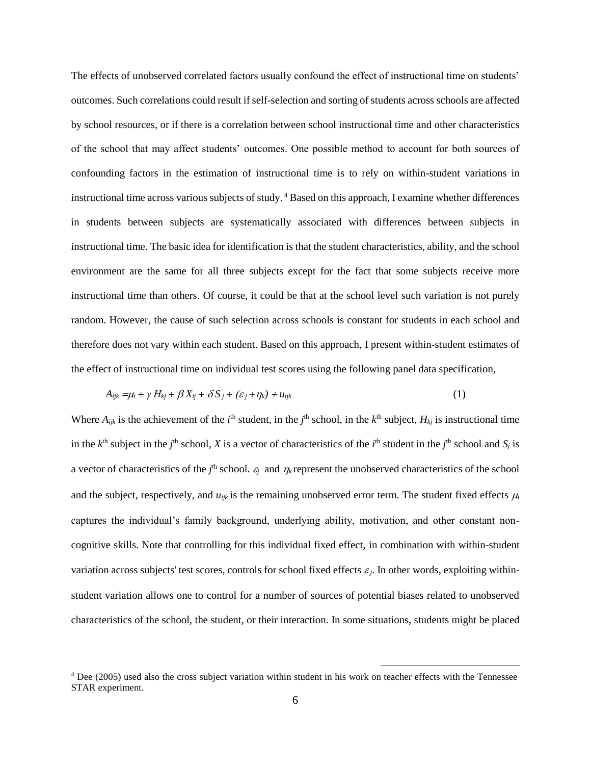The effects of unobserved correlated factors usually confound the effect of instructional time on students' outcomes. Such correlations could result if self-selection and sorting of students across schools are affected by school resources, or if there is a correlation between school instructional time and other characteristics of the school that may affect students' outcomes. One possible method to account for both sources of confounding factors in the estimation of instructional time is to rely on within-student variations in instructional time across various subjects of study. <sup>4</sup> Based on this approach, I examine whether differences in students between subjects are systematically associated with differences between subjects in instructional time. The basic idea for identification is that the student characteristics, ability, and the school environment are the same for all three subjects except for the fact that some subjects receive more instructional time than others. Of course, it could be that at the school level such variation is not purely random. However, the cause of such selection across schools is constant for students in each school and therefore does not vary within each student. Based on this approach, I present within-student estimates of the effect of instructional time on individual test scores using the following panel data specification,

$$
A_{ijk} = \mu_i + \gamma H_{kj} + \beta X_{ij} + \delta S_j + (\varepsilon_j + \eta_k) + u_{ijk}
$$
 (1)

Where  $A_{ijk}$  is the achievement of the *i*<sup>th</sup> student, in the *j*<sup>th</sup> school, in the *k*<sup>th</sup> subject,  $H_{kj}$  is instructional time in the  $k^{\text{th}}$  subject in the  $j^{\text{th}}$  school, X is a vector of characteristics of the  $i^{\text{th}}$  student in the  $j^{\text{th}}$  school and  $S_j$  is a vector of characteristics of the  $j<sup>th</sup>$  school.  $\varepsilon_j$  and  $\eta_k$  represent the unobserved characteristics of the school and the subject, respectively, and  $u_{ijk}$  is the remaining unobserved error term. The student fixed effects  $\mu_i$ captures the individual's family background, underlying ability, motivation, and other constant noncognitive skills. Note that controlling for this individual fixed effect, in combination with within-student variation across subjects' test scores, controls for school fixed effects  $\varepsilon_i$ . In other words, exploiting withinstudent variation allows one to control for a number of sources of potential biases related to unobserved characteristics of the school, the student, or their interaction. In some situations, students might be placed

<sup>&</sup>lt;sup>4</sup> Dee (2005) used also the cross subject variation within student in his work on teacher effects with the Tennessee STAR experiment.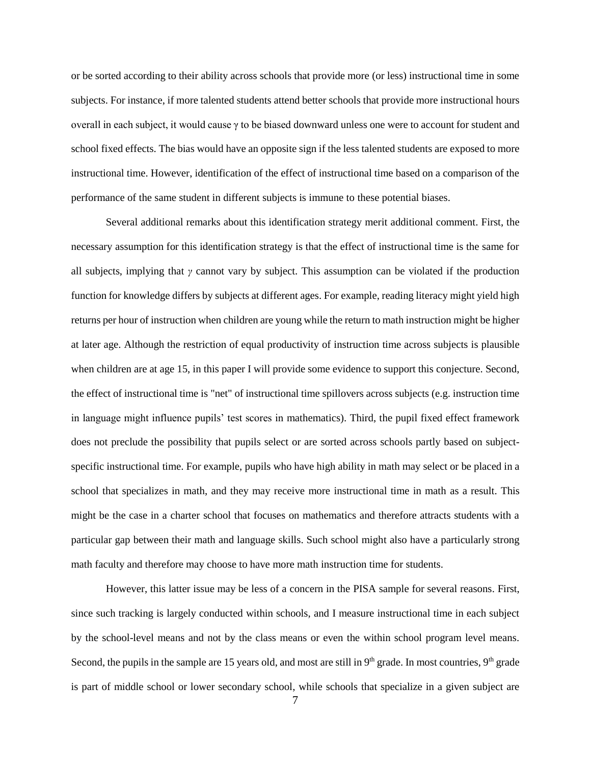or be sorted according to their ability across schools that provide more (or less) instructional time in some subjects. For instance, if more talented students attend better schools that provide more instructional hours overall in each subject, it would cause γ to be biased downward unless one were to account for student and school fixed effects. The bias would have an opposite sign if the less talented students are exposed to more instructional time. However, identification of the effect of instructional time based on a comparison of the performance of the same student in different subjects is immune to these potential biases.

Several additional remarks about this identification strategy merit additional comment. First, the necessary assumption for this identification strategy is that the effect of instructional time is the same for all subjects, implying that *γ* cannot vary by subject. This assumption can be violated if the production function for knowledge differs by subjects at different ages. For example, reading literacy might yield high returns per hour of instruction when children are young while the return to math instruction might be higher at later age. Although the restriction of equal productivity of instruction time across subjects is plausible when children are at age 15, in this paper I will provide some evidence to support this conjecture. Second, the effect of instructional time is "net" of instructional time spillovers across subjects (e.g. instruction time in language might influence pupils' test scores in mathematics). Third, the pupil fixed effect framework does not preclude the possibility that pupils select or are sorted across schools partly based on subjectspecific instructional time. For example, pupils who have high ability in math may select or be placed in a school that specializes in math, and they may receive more instructional time in math as a result. This might be the case in a charter school that focuses on mathematics and therefore attracts students with a particular gap between their math and language skills. Such school might also have a particularly strong math faculty and therefore may choose to have more math instruction time for students.

However, this latter issue may be less of a concern in the PISA sample for several reasons. First, since such tracking is largely conducted within schools, and I measure instructional time in each subject by the school-level means and not by the class means or even the within school program level means. Second, the pupils in the sample are 15 years old, and most are still in  $9<sup>th</sup>$  grade. In most countries,  $9<sup>th</sup>$  grade is part of middle school or lower secondary school, while schools that specialize in a given subject are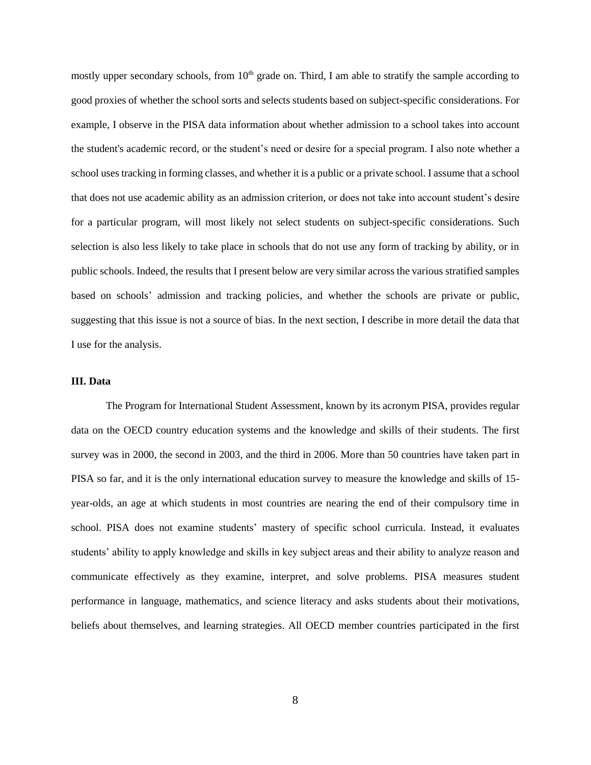mostly upper secondary schools, from  $10<sup>th</sup>$  grade on. Third, I am able to stratify the sample according to good proxies of whether the school sorts and selects students based on subject-specific considerations. For example, I observe in the PISA data information about whether admission to a school takes into account the student's academic record, or the student's need or desire for a special program. I also note whether a school uses tracking in forming classes, and whether it is a public or a private school. I assume that a school that does not use academic ability as an admission criterion, or does not take into account student's desire for a particular program, will most likely not select students on subject-specific considerations. Such selection is also less likely to take place in schools that do not use any form of tracking by ability, or in public schools. Indeed, the results that I present below are very similar across the various stratified samples based on schools' admission and tracking policies, and whether the schools are private or public, suggesting that this issue is not a source of bias. In the next section, I describe in more detail the data that I use for the analysis.

#### **III. Data**

The Program for International Student Assessment, known by its acronym PISA, provides regular data on the OECD country education systems and the knowledge and skills of their students. The first survey was in 2000, the second in 2003, and the third in 2006. More than 50 countries have taken part in PISA so far, and it is the only international education survey to measure the knowledge and skills of 15 year-olds, an age at which students in most countries are nearing the end of their compulsory time in school. PISA does not examine students' mastery of specific school curricula. Instead, it evaluates students' ability to apply knowledge and skills in key subject areas and their ability to analyze reason and communicate effectively as they examine, interpret, and solve problems. PISA measures student performance in language, mathematics, and science literacy and asks students about their motivations, beliefs about themselves, and learning strategies. All OECD member countries participated in the first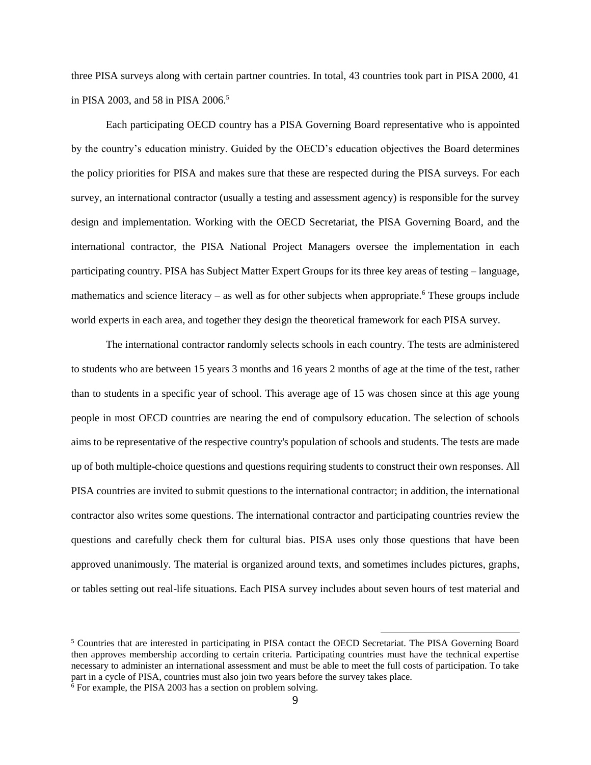three PISA surveys along with certain partner countries. In total, 43 countries took part in PISA 2000, 41 in PISA 2003, and 58 in PISA 2006.<sup>5</sup>

Each participating OECD country has a PISA Governing Board representative who is appointed by the country's education ministry. Guided by the OECD's education objectives the Board determines the policy priorities for PISA and makes sure that these are respected during the PISA surveys. For each survey, an international contractor (usually a testing and assessment agency) is responsible for the survey design and implementation. Working with the OECD Secretariat, the PISA Governing Board, and the international contractor, the PISA National Project Managers oversee the implementation in each participating country. PISA has Subject Matter Expert Groups for its three key areas of testing – language, mathematics and science literacy – as well as for other subjects when appropriate.<sup>6</sup> These groups include world experts in each area, and together they design the theoretical framework for each PISA survey.

The international contractor randomly selects schools in each country. The tests are administered to students who are between 15 years 3 months and 16 years 2 months of age at the time of the test, rather than to students in a specific year of school. This average age of 15 was chosen since at this age young people in most OECD countries are nearing the end of compulsory education. The selection of schools aims to be representative of the respective country's population of schools and students. The tests are made up of both multiple-choice questions and questions requiring students to construct their own responses. All PISA countries are invited to submit questions to the international contractor; in addition, the international contractor also writes some questions. The international contractor and participating countries review the questions and carefully check them for cultural bias. PISA uses only those questions that have been approved unanimously. The material is organized around texts, and sometimes includes pictures, graphs, or tables setting out real-life situations. Each PISA survey includes about seven hours of test material and

<sup>5</sup> Countries that are interested in participating in PISA contact the OECD Secretariat. The PISA Governing Board then approves membership according to certain criteria. Participating countries must have the technical expertise necessary to administer an international assessment and must be able to meet the full costs of participation. To take part in a cycle of PISA, countries must also join two years before the survey takes place.

 $\overline{6}$  For example, the PISA 2003 has a section on problem solving.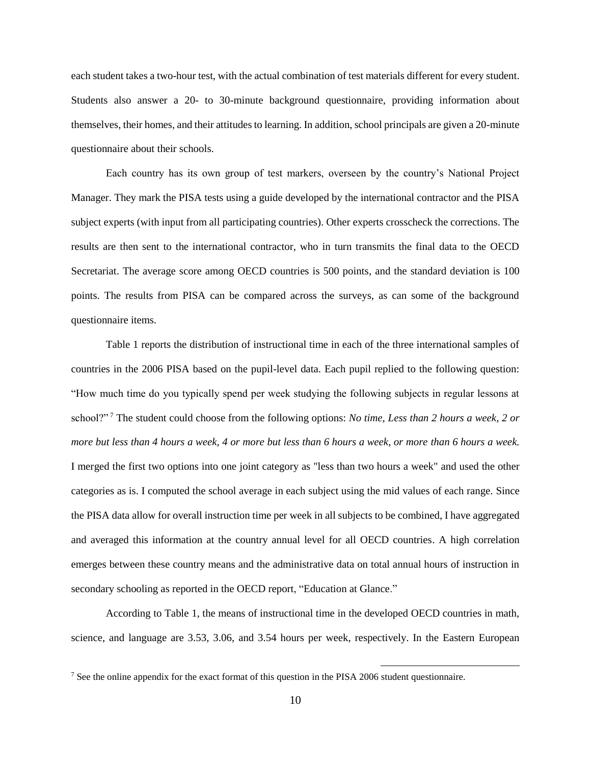each student takes a two-hour test, with the actual combination of test materials different for every student. Students also answer a 20- to 30-minute background questionnaire, providing information about themselves, their homes, and their attitudes to learning. In addition, school principals are given a 20-minute questionnaire about their schools.

Each country has its own group of test markers, overseen by the country's National Project Manager. They mark the PISA tests using a guide developed by the international contractor and the PISA subject experts (with input from all participating countries). Other experts crosscheck the corrections. The results are then sent to the international contractor, who in turn transmits the final data to the OECD Secretariat. The average score among OECD countries is 500 points, and the standard deviation is 100 points. The results from PISA can be compared across the surveys, as can some of the background questionnaire items.

Table 1 reports the distribution of instructional time in each of the three international samples of countries in the 2006 PISA based on the pupil-level data. Each pupil replied to the following question: "How much time do you typically spend per week studying the following subjects in regular lessons at school?" <sup>7</sup> The student could choose from the following options: *No time, Less than 2 hours a week, 2 or more but less than 4 hours a week, 4 or more but less than 6 hours a week, or more than 6 hours a week.*  I merged the first two options into one joint category as "less than two hours a week" and used the other categories as is. I computed the school average in each subject using the mid values of each range. Since the PISA data allow for overall instruction time per week in all subjects to be combined, I have aggregated and averaged this information at the country annual level for all OECD countries. A high correlation emerges between these country means and the administrative data on total annual hours of instruction in secondary schooling as reported in the OECD report, "Education at Glance."

According to Table 1, the means of instructional time in the developed OECD countries in math, science, and language are 3.53, 3.06, and 3.54 hours per week, respectively. In the Eastern European

 $<sup>7</sup>$  See the online appendix for the exact format of this question in the PISA 2006 student questionnaire.</sup>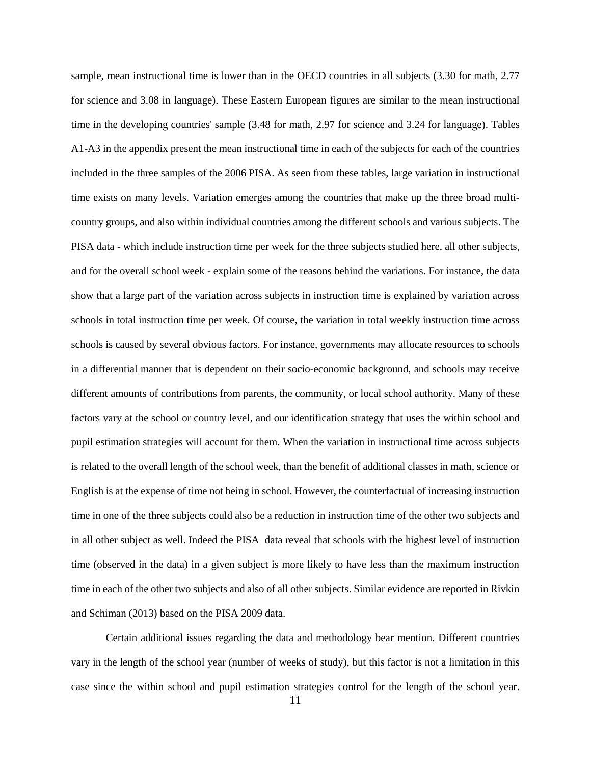sample, mean instructional time is lower than in the OECD countries in all subjects (3.30 for math, 2.77 for science and 3.08 in language). These Eastern European figures are similar to the mean instructional time in the developing countries' sample (3.48 for math, 2.97 for science and 3.24 for language). Tables A1-A3 in the appendix present the mean instructional time in each of the subjects for each of the countries included in the three samples of the 2006 PISA. As seen from these tables, large variation in instructional time exists on many levels. Variation emerges among the countries that make up the three broad multicountry groups, and also within individual countries among the different schools and various subjects. The PISA data - which include instruction time per week for the three subjects studied here, all other subjects, and for the overall school week - explain some of the reasons behind the variations. For instance, the data show that a large part of the variation across subjects in instruction time is explained by variation across schools in total instruction time per week. Of course, the variation in total weekly instruction time across schools is caused by several obvious factors. For instance, governments may allocate resources to schools in a differential manner that is dependent on their socio-economic background, and schools may receive different amounts of contributions from parents, the community, or local school authority. Many of these factors vary at the school or country level, and our identification strategy that uses the within school and pupil estimation strategies will account for them. When the variation in instructional time across subjects is related to the overall length of the school week, than the benefit of additional classes in math, science or English is at the expense of time not being in school. However, the counterfactual of increasing instruction time in one of the three subjects could also be a reduction in instruction time of the other two subjects and in all other subject as well. Indeed the PISA data reveal that schools with the highest level of instruction time (observed in the data) in a given subject is more likely to have less than the maximum instruction time in each of the other two subjects and also of all other subjects. Similar evidence are reported in Rivkin and Schiman (2013) based on the PISA 2009 data.

Certain additional issues regarding the data and methodology bear mention. Different countries vary in the length of the school year (number of weeks of study), but this factor is not a limitation in this case since the within school and pupil estimation strategies control for the length of the school year.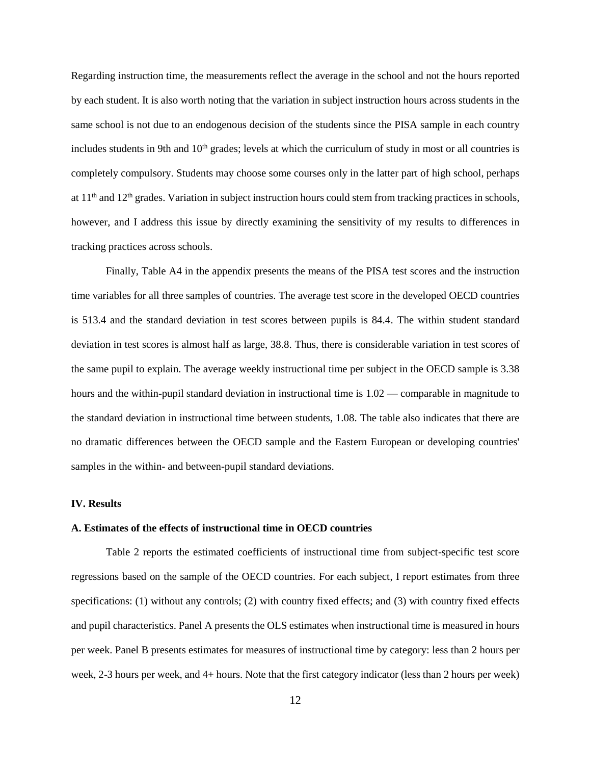Regarding instruction time, the measurements reflect the average in the school and not the hours reported by each student. It is also worth noting that the variation in subject instruction hours across students in the same school is not due to an endogenous decision of the students since the PISA sample in each country includes students in 9th and  $10<sup>th</sup>$  grades; levels at which the curriculum of study in most or all countries is completely compulsory. Students may choose some courses only in the latter part of high school, perhaps at  $11<sup>th</sup>$  and  $12<sup>th</sup>$  grades. Variation in subject instruction hours could stem from tracking practices in schools, however, and I address this issue by directly examining the sensitivity of my results to differences in tracking practices across schools.

Finally, Table A4 in the appendix presents the means of the PISA test scores and the instruction time variables for all three samples of countries. The average test score in the developed OECD countries is 513.4 and the standard deviation in test scores between pupils is 84.4. The within student standard deviation in test scores is almost half as large, 38.8. Thus, there is considerable variation in test scores of the same pupil to explain. The average weekly instructional time per subject in the OECD sample is 3.38 hours and the within-pupil standard deviation in instructional time is  $1.02$  — comparable in magnitude to the standard deviation in instructional time between students, 1.08. The table also indicates that there are no dramatic differences between the OECD sample and the Eastern European or developing countries' samples in the within- and between-pupil standard deviations.

#### **IV. Results**

#### **A. Estimates of the effects of instructional time in OECD countries**

Table 2 reports the estimated coefficients of instructional time from subject-specific test score regressions based on the sample of the OECD countries. For each subject, I report estimates from three specifications: (1) without any controls; (2) with country fixed effects; and (3) with country fixed effects and pupil characteristics. Panel A presents the OLS estimates when instructional time is measured in hours per week. Panel B presents estimates for measures of instructional time by category: less than 2 hours per week, 2-3 hours per week, and 4+ hours. Note that the first category indicator (less than 2 hours per week)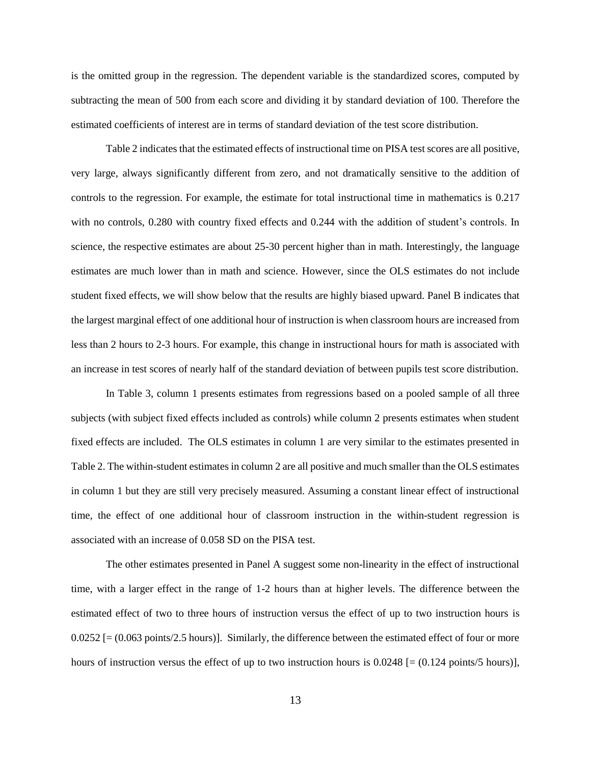is the omitted group in the regression. The dependent variable is the standardized scores, computed by subtracting the mean of 500 from each score and dividing it by standard deviation of 100. Therefore the estimated coefficients of interest are in terms of standard deviation of the test score distribution.

Table 2 indicates that the estimated effects of instructional time on PISA test scores are all positive, very large, always significantly different from zero, and not dramatically sensitive to the addition of controls to the regression. For example, the estimate for total instructional time in mathematics is 0.217 with no controls, 0.280 with country fixed effects and 0.244 with the addition of student's controls. In science, the respective estimates are about 25-30 percent higher than in math. Interestingly, the language estimates are much lower than in math and science. However, since the OLS estimates do not include student fixed effects, we will show below that the results are highly biased upward. Panel B indicates that the largest marginal effect of one additional hour of instruction is when classroom hours are increased from less than 2 hours to 2-3 hours. For example, this change in instructional hours for math is associated with an increase in test scores of nearly half of the standard deviation of between pupils test score distribution.

In Table 3, column 1 presents estimates from regressions based on a pooled sample of all three subjects (with subject fixed effects included as controls) while column 2 presents estimates when student fixed effects are included. The OLS estimates in column 1 are very similar to the estimates presented in Table 2. The within-student estimates in column 2 are all positive and much smaller than the OLS estimates in column 1 but they are still very precisely measured. Assuming a constant linear effect of instructional time, the effect of one additional hour of classroom instruction in the within-student regression is associated with an increase of 0.058 SD on the PISA test.

The other estimates presented in Panel A suggest some non-linearity in the effect of instructional time, with a larger effect in the range of 1-2 hours than at higher levels. The difference between the estimated effect of two to three hours of instruction versus the effect of up to two instruction hours is  $0.0252$  [= (0.063 points/2.5 hours)]. Similarly, the difference between the estimated effect of four or more hours of instruction versus the effect of up to two instruction hours is  $0.0248$  [=  $(0.124 \text{ points}/5 \text{ hours})$ ],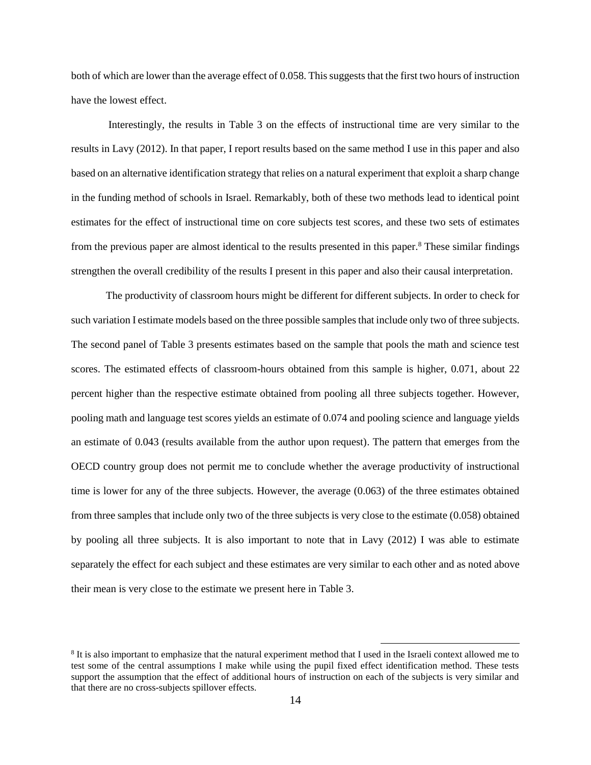both of which are lower than the average effect of 0.058. Thissuggests that the first two hours of instruction have the lowest effect.

Interestingly, the results in Table 3 on the effects of instructional time are very similar to the results in Lavy (2012). In that paper, I report results based on the same method I use in this paper and also based on an alternative identification strategy that relies on a natural experiment that exploit a sharp change in the funding method of schools in Israel. Remarkably, both of these two methods lead to identical point estimates for the effect of instructional time on core subjects test scores, and these two sets of estimates from the previous paper are almost identical to the results presented in this paper.<sup>8</sup> These similar findings strengthen the overall credibility of the results I present in this paper and also their causal interpretation.

The productivity of classroom hours might be different for different subjects. In order to check for such variation I estimate models based on the three possible samples that include only two of three subjects. The second panel of Table 3 presents estimates based on the sample that pools the math and science test scores. The estimated effects of classroom-hours obtained from this sample is higher, 0.071, about 22 percent higher than the respective estimate obtained from pooling all three subjects together. However, pooling math and language test scores yields an estimate of 0.074 and pooling science and language yields an estimate of 0.043 (results available from the author upon request). The pattern that emerges from the OECD country group does not permit me to conclude whether the average productivity of instructional time is lower for any of the three subjects. However, the average (0.063) of the three estimates obtained from three samples that include only two of the three subjects is very close to the estimate (0.058) obtained by pooling all three subjects. It is also important to note that in Lavy (2012) I was able to estimate separately the effect for each subject and these estimates are very similar to each other and as noted above their mean is very close to the estimate we present here in Table 3.

<sup>&</sup>lt;sup>8</sup> It is also important to emphasize that the natural experiment method that I used in the Israeli context allowed me to test some of the central assumptions I make while using the pupil fixed effect identification method. These tests support the assumption that the effect of additional hours of instruction on each of the subjects is very similar and that there are no cross-subjects spillover effects.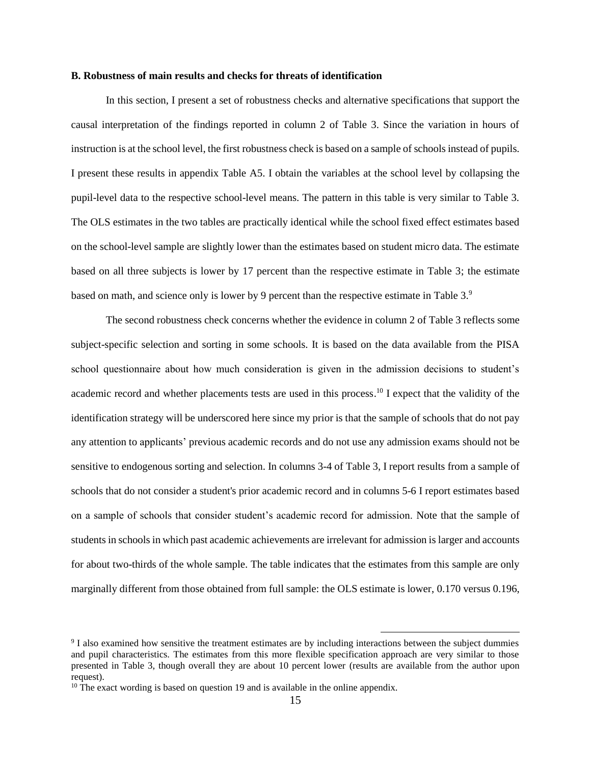#### **B. Robustness of main results and checks for threats of identification**

In this section, I present a set of robustness checks and alternative specifications that support the causal interpretation of the findings reported in column 2 of Table 3. Since the variation in hours of instruction is at the school level, the first robustness check is based on a sample of schools instead of pupils. I present these results in appendix Table A5. I obtain the variables at the school level by collapsing the pupil-level data to the respective school-level means. The pattern in this table is very similar to Table 3. The OLS estimates in the two tables are practically identical while the school fixed effect estimates based on the school-level sample are slightly lower than the estimates based on student micro data. The estimate based on all three subjects is lower by 17 percent than the respective estimate in Table 3; the estimate based on math, and science only is lower by 9 percent than the respective estimate in Table 3.<sup>9</sup>

The second robustness check concerns whether the evidence in column 2 of Table 3 reflects some subject-specific selection and sorting in some schools. It is based on the data available from the PISA school questionnaire about how much consideration is given in the admission decisions to student's academic record and whether placements tests are used in this process.<sup>10</sup> I expect that the validity of the identification strategy will be underscored here since my prior is that the sample of schools that do not pay any attention to applicants' previous academic records and do not use any admission exams should not be sensitive to endogenous sorting and selection. In columns 3-4 of Table 3, I report results from a sample of schools that do not consider a student's prior academic record and in columns 5-6 I report estimates based on a sample of schools that consider student's academic record for admission. Note that the sample of students in schools in which past academic achievements are irrelevant for admission is larger and accounts for about two-thirds of the whole sample. The table indicates that the estimates from this sample are only marginally different from those obtained from full sample: the OLS estimate is lower, 0.170 versus 0.196,

<sup>&</sup>lt;sup>9</sup> I also examined how sensitive the treatment estimates are by including interactions between the subject dummies and pupil characteristics. The estimates from this more flexible specification approach are very similar to those presented in Table 3, though overall they are about 10 percent lower (results are available from the author upon request).

 $10$  The exact wording is based on question 19 and is available in the online appendix.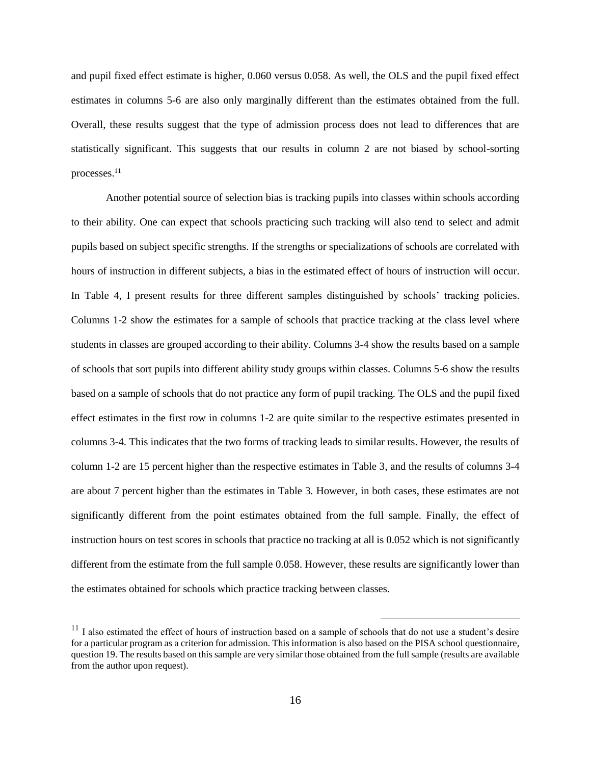and pupil fixed effect estimate is higher, 0.060 versus 0.058. As well, the OLS and the pupil fixed effect estimates in columns 5-6 are also only marginally different than the estimates obtained from the full. Overall, these results suggest that the type of admission process does not lead to differences that are statistically significant. This suggests that our results in column 2 are not biased by school-sorting processes. 11

Another potential source of selection bias is tracking pupils into classes within schools according to their ability. One can expect that schools practicing such tracking will also tend to select and admit pupils based on subject specific strengths. If the strengths or specializations of schools are correlated with hours of instruction in different subjects, a bias in the estimated effect of hours of instruction will occur. In Table 4, I present results for three different samples distinguished by schools' tracking policies. Columns 1-2 show the estimates for a sample of schools that practice tracking at the class level where students in classes are grouped according to their ability. Columns 3-4 show the results based on a sample of schools that sort pupils into different ability study groups within classes. Columns 5-6 show the results based on a sample of schools that do not practice any form of pupil tracking. The OLS and the pupil fixed effect estimates in the first row in columns 1-2 are quite similar to the respective estimates presented in columns 3-4. This indicates that the two forms of tracking leads to similar results. However, the results of column 1-2 are 15 percent higher than the respective estimates in Table 3, and the results of columns 3-4 are about 7 percent higher than the estimates in Table 3. However, in both cases, these estimates are not significantly different from the point estimates obtained from the full sample. Finally, the effect of instruction hours on test scores in schools that practice no tracking at all is 0.052 which is not significantly different from the estimate from the full sample 0.058. However, these results are significantly lower than the estimates obtained for schools which practice tracking between classes.

<sup>&</sup>lt;sup>11</sup> I also estimated the effect of hours of instruction based on a sample of schools that do not use a student's desire for a particular program as a criterion for admission. This information is also based on the PISA school questionnaire, question 19. The results based on this sample are very similar those obtained from the full sample (results are available from the author upon request).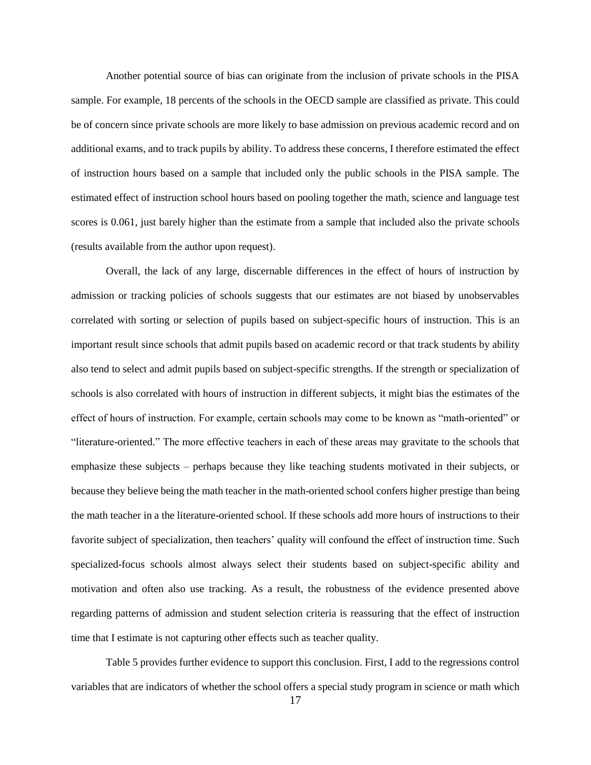Another potential source of bias can originate from the inclusion of private schools in the PISA sample. For example, 18 percents of the schools in the OECD sample are classified as private. This could be of concern since private schools are more likely to base admission on previous academic record and on additional exams, and to track pupils by ability. To address these concerns, I therefore estimated the effect of instruction hours based on a sample that included only the public schools in the PISA sample. The estimated effect of instruction school hours based on pooling together the math, science and language test scores is 0.061, just barely higher than the estimate from a sample that included also the private schools (results available from the author upon request).

Overall, the lack of any large, discernable differences in the effect of hours of instruction by admission or tracking policies of schools suggests that our estimates are not biased by unobservables correlated with sorting or selection of pupils based on subject-specific hours of instruction. This is an important result since schools that admit pupils based on academic record or that track students by ability also tend to select and admit pupils based on subject-specific strengths. If the strength or specialization of schools is also correlated with hours of instruction in different subjects, it might bias the estimates of the effect of hours of instruction. For example, certain schools may come to be known as "math-oriented" or "literature-oriented." The more effective teachers in each of these areas may gravitate to the schools that emphasize these subjects – perhaps because they like teaching students motivated in their subjects, or because they believe being the math teacher in the math-oriented school confers higher prestige than being the math teacher in a the literature-oriented school. If these schools add more hours of instructions to their favorite subject of specialization, then teachers' quality will confound the effect of instruction time. Such specialized-focus schools almost always select their students based on subject-specific ability and motivation and often also use tracking. As a result, the robustness of the evidence presented above regarding patterns of admission and student selection criteria is reassuring that the effect of instruction time that I estimate is not capturing other effects such as teacher quality.

Table 5 provides further evidence to support this conclusion. First, I add to the regressions control variables that are indicators of whether the school offers a special study program in science or math which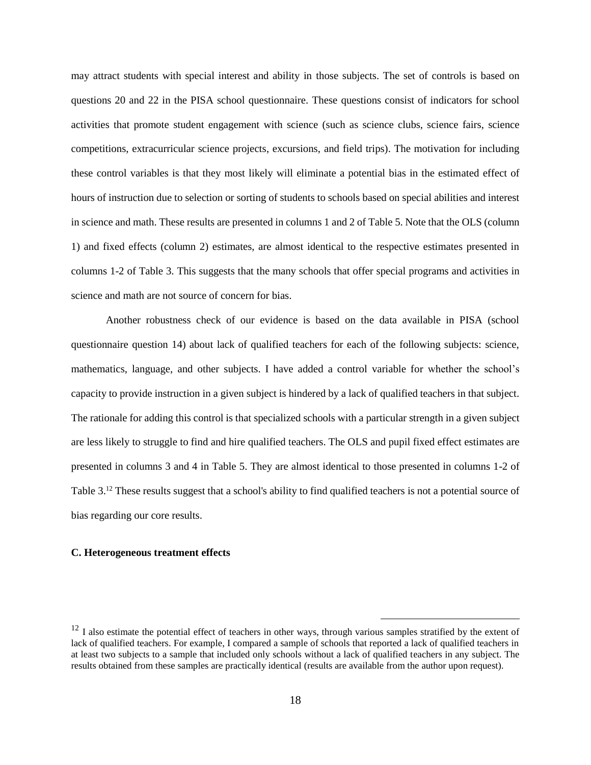may attract students with special interest and ability in those subjects. The set of controls is based on questions 20 and 22 in the PISA school questionnaire. These questions consist of indicators for school activities that promote student engagement with science (such as science clubs, science fairs, science competitions, extracurricular science projects, excursions, and field trips). The motivation for including these control variables is that they most likely will eliminate a potential bias in the estimated effect of hours of instruction due to selection or sorting of students to schools based on special abilities and interest in science and math. These results are presented in columns 1 and 2 of Table 5. Note that the OLS (column 1) and fixed effects (column 2) estimates, are almost identical to the respective estimates presented in columns 1-2 of Table 3. This suggests that the many schools that offer special programs and activities in science and math are not source of concern for bias.

Another robustness check of our evidence is based on the data available in PISA (school questionnaire question 14) about lack of qualified teachers for each of the following subjects: science, mathematics, language, and other subjects. I have added a control variable for whether the school's capacity to provide instruction in a given subject is hindered by a lack of qualified teachers in that subject. The rationale for adding this control is that specialized schools with a particular strength in a given subject are less likely to struggle to find and hire qualified teachers. The OLS and pupil fixed effect estimates are presented in columns 3 and 4 in Table 5. They are almost identical to those presented in columns 1-2 of Table 3.<sup>12</sup> These results suggest that a school's ability to find qualified teachers is not a potential source of bias regarding our core results.

## **C. Heterogeneous treatment effects**

 $12$  I also estimate the potential effect of teachers in other ways, through various samples stratified by the extent of lack of qualified teachers. For example, I compared a sample of schools that reported a lack of qualified teachers in at least two subjects to a sample that included only schools without a lack of qualified teachers in any subject. The results obtained from these samples are practically identical (results are available from the author upon request).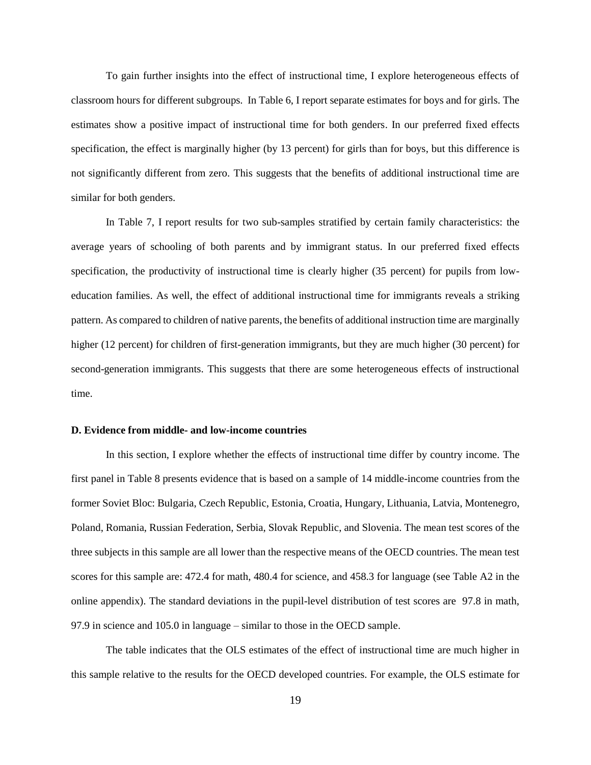To gain further insights into the effect of instructional time, I explore heterogeneous effects of classroom hours for different subgroups. In Table 6, I report separate estimates for boys and for girls. The estimates show a positive impact of instructional time for both genders. In our preferred fixed effects specification, the effect is marginally higher (by 13 percent) for girls than for boys, but this difference is not significantly different from zero. This suggests that the benefits of additional instructional time are similar for both genders.

In Table 7, I report results for two sub-samples stratified by certain family characteristics: the average years of schooling of both parents and by immigrant status. In our preferred fixed effects specification, the productivity of instructional time is clearly higher (35 percent) for pupils from loweducation families. As well, the effect of additional instructional time for immigrants reveals a striking pattern. As compared to children of native parents, the benefits of additional instruction time are marginally higher (12 percent) for children of first-generation immigrants, but they are much higher (30 percent) for second-generation immigrants. This suggests that there are some heterogeneous effects of instructional time.

## **D. Evidence from middle- and low-income countries**

In this section, I explore whether the effects of instructional time differ by country income. The first panel in Table 8 presents evidence that is based on a sample of 14 middle-income countries from the former Soviet Bloc: Bulgaria, Czech Republic, Estonia, Croatia, Hungary, Lithuania, Latvia, Montenegro, Poland, Romania, Russian Federation, Serbia, Slovak Republic, and Slovenia. The mean test scores of the three subjects in this sample are all lower than the respective means of the OECD countries. The mean test scores for this sample are: 472.4 for math, 480.4 for science, and 458.3 for language (see Table A2 in the online appendix). The standard deviations in the pupil-level distribution of test scores are 97.8 in math, 97.9 in science and 105.0 in language – similar to those in the OECD sample.

The table indicates that the OLS estimates of the effect of instructional time are much higher in this sample relative to the results for the OECD developed countries. For example, the OLS estimate for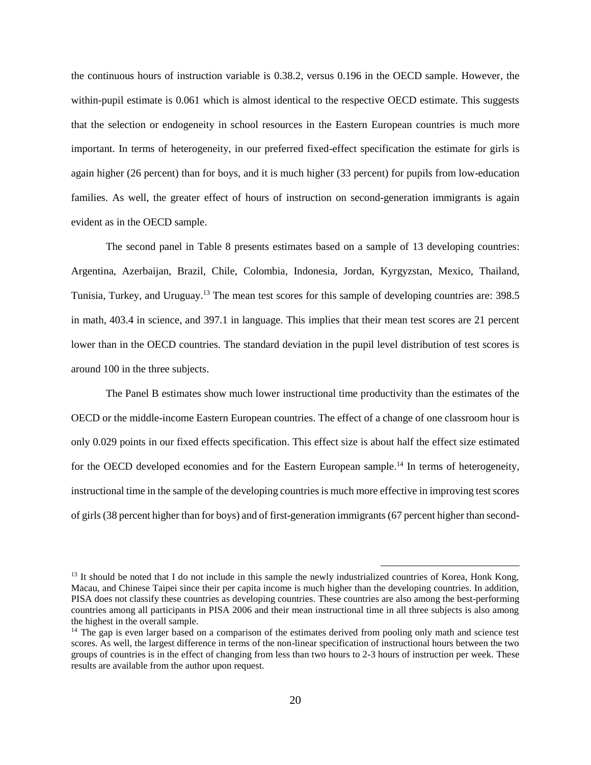the continuous hours of instruction variable is 0.38.2, versus 0.196 in the OECD sample. However, the within-pupil estimate is 0.061 which is almost identical to the respective OECD estimate. This suggests that the selection or endogeneity in school resources in the Eastern European countries is much more important. In terms of heterogeneity, in our preferred fixed-effect specification the estimate for girls is again higher (26 percent) than for boys, and it is much higher (33 percent) for pupils from low-education families. As well, the greater effect of hours of instruction on second-generation immigrants is again evident as in the OECD sample.

The second panel in Table 8 presents estimates based on a sample of 13 developing countries: Argentina, Azerbaijan, Brazil, Chile, Colombia, Indonesia, Jordan, Kyrgyzstan, Mexico, Thailand, Tunisia, Turkey, and Uruguay.<sup>13</sup> The mean test scores for this sample of developing countries are: 398.5 in math, 403.4 in science, and 397.1 in language. This implies that their mean test scores are 21 percent lower than in the OECD countries. The standard deviation in the pupil level distribution of test scores is around 100 in the three subjects.

The Panel B estimates show much lower instructional time productivity than the estimates of the OECD or the middle-income Eastern European countries. The effect of a change of one classroom hour is only 0.029 points in our fixed effects specification. This effect size is about half the effect size estimated for the OECD developed economies and for the Eastern European sample.<sup>14</sup> In terms of heterogeneity, instructional time in the sample of the developing countries is much more effective in improving test scores of girls (38 percent higher than for boys) and of first-generation immigrants(67 percent higher than second-

 $13$  It should be noted that I do not include in this sample the newly industrialized countries of Korea, Honk Kong, Macau, and Chinese Taipei since their per capita income is much higher than the developing countries. In addition, PISA does not classify these countries as developing countries. These countries are also among the best-performing countries among all participants in PISA 2006 and their mean instructional time in all three subjects is also among the highest in the overall sample.

<sup>&</sup>lt;sup>14</sup> The gap is even larger based on a comparison of the estimates derived from pooling only math and science test scores. As well, the largest difference in terms of the non-linear specification of instructional hours between the two groups of countries is in the effect of changing from less than two hours to 2-3 hours of instruction per week. These results are available from the author upon request.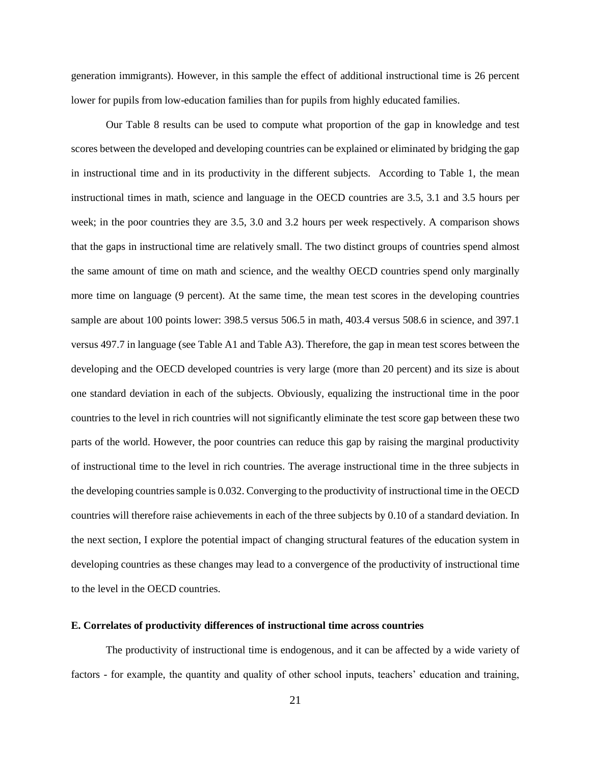generation immigrants). However, in this sample the effect of additional instructional time is 26 percent lower for pupils from low-education families than for pupils from highly educated families.

Our Table 8 results can be used to compute what proportion of the gap in knowledge and test scores between the developed and developing countries can be explained or eliminated by bridging the gap in instructional time and in its productivity in the different subjects. According to Table 1, the mean instructional times in math, science and language in the OECD countries are 3.5, 3.1 and 3.5 hours per week; in the poor countries they are 3.5, 3.0 and 3.2 hours per week respectively. A comparison shows that the gaps in instructional time are relatively small. The two distinct groups of countries spend almost the same amount of time on math and science, and the wealthy OECD countries spend only marginally more time on language (9 percent). At the same time, the mean test scores in the developing countries sample are about 100 points lower: 398.5 versus 506.5 in math, 403.4 versus 508.6 in science, and 397.1 versus 497.7 in language (see Table A1 and Table A3). Therefore, the gap in mean test scores between the developing and the OECD developed countries is very large (more than 20 percent) and its size is about one standard deviation in each of the subjects. Obviously, equalizing the instructional time in the poor countries to the level in rich countries will not significantly eliminate the test score gap between these two parts of the world. However, the poor countries can reduce this gap by raising the marginal productivity of instructional time to the level in rich countries. The average instructional time in the three subjects in the developing countries sample is 0.032. Converging to the productivity of instructional time in the OECD countries will therefore raise achievements in each of the three subjects by 0.10 of a standard deviation. In the next section, I explore the potential impact of changing structural features of the education system in developing countries as these changes may lead to a convergence of the productivity of instructional time to the level in the OECD countries.

#### **E. Correlates of productivity differences of instructional time across countries**

The productivity of instructional time is endogenous, and it can be affected by a wide variety of factors - for example, the quantity and quality of other school inputs, teachers' education and training,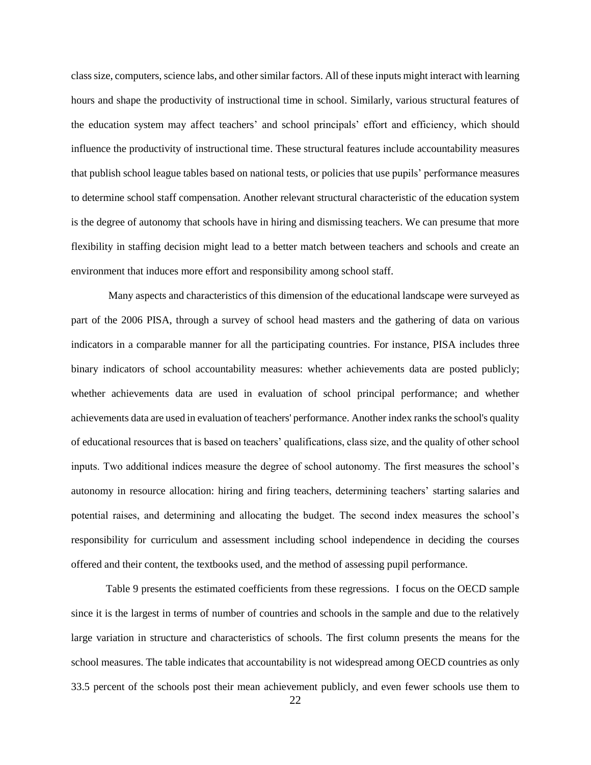class size, computers, science labs, and other similar factors. All of these inputs might interact with learning hours and shape the productivity of instructional time in school. Similarly, various structural features of the education system may affect teachers' and school principals' effort and efficiency, which should influence the productivity of instructional time. These structural features include accountability measures that publish school league tables based on national tests, or policies that use pupils' performance measures to determine school staff compensation. Another relevant structural characteristic of the education system is the degree of autonomy that schools have in hiring and dismissing teachers. We can presume that more flexibility in staffing decision might lead to a better match between teachers and schools and create an environment that induces more effort and responsibility among school staff.

Many aspects and characteristics of this dimension of the educational landscape were surveyed as part of the 2006 PISA, through a survey of school head masters and the gathering of data on various indicators in a comparable manner for all the participating countries. For instance, PISA includes three binary indicators of school accountability measures: whether achievements data are posted publicly; whether achievements data are used in evaluation of school principal performance; and whether achievements data are used in evaluation of teachers' performance. Another index ranks the school's quality of educational resources that is based on teachers' qualifications, class size, and the quality of other school inputs. Two additional indices measure the degree of school autonomy. The first measures the school's autonomy in resource allocation: hiring and firing teachers, determining teachers' starting salaries and potential raises, and determining and allocating the budget. The second index measures the school's responsibility for curriculum and assessment including school independence in deciding the courses offered and their content, the textbooks used, and the method of assessing pupil performance.

Table 9 presents the estimated coefficients from these regressions. I focus on the OECD sample since it is the largest in terms of number of countries and schools in the sample and due to the relatively large variation in structure and characteristics of schools. The first column presents the means for the school measures. The table indicates that accountability is not widespread among OECD countries as only 33.5 percent of the schools post their mean achievement publicly, and even fewer schools use them to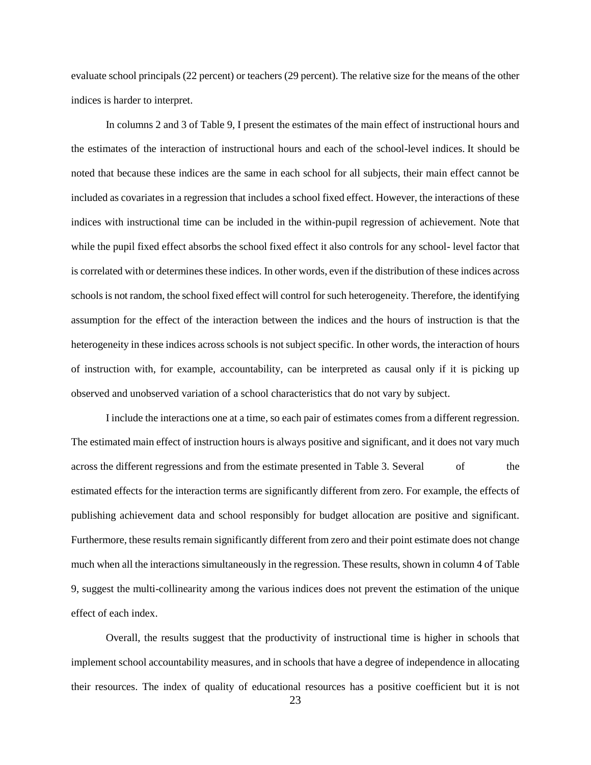evaluate school principals (22 percent) or teachers (29 percent). The relative size for the means of the other indices is harder to interpret.

In columns 2 and 3 of Table 9, I present the estimates of the main effect of instructional hours and the estimates of the interaction of instructional hours and each of the school-level indices. It should be noted that because these indices are the same in each school for all subjects, their main effect cannot be included as covariates in a regression that includes a school fixed effect. However, the interactions of these indices with instructional time can be included in the within-pupil regression of achievement. Note that while the pupil fixed effect absorbs the school fixed effect it also controls for any school- level factor that is correlated with or determines these indices. In other words, even if the distribution of these indices across schools is not random, the school fixed effect will control for such heterogeneity. Therefore, the identifying assumption for the effect of the interaction between the indices and the hours of instruction is that the heterogeneity in these indices across schools is not subject specific. In other words, the interaction of hours of instruction with, for example, accountability, can be interpreted as causal only if it is picking up observed and unobserved variation of a school characteristics that do not vary by subject.

I include the interactions one at a time, so each pair of estimates comes from a different regression. The estimated main effect of instruction hours is always positive and significant, and it does not vary much across the different regressions and from the estimate presented in Table 3. Several of the estimated effects for the interaction terms are significantly different from zero. For example, the effects of publishing achievement data and school responsibly for budget allocation are positive and significant. Furthermore, these results remain significantly different from zero and their point estimate does not change much when all the interactions simultaneously in the regression. These results, shown in column 4 of Table 9, suggest the multi-collinearity among the various indices does not prevent the estimation of the unique effect of each index.

Overall, the results suggest that the productivity of instructional time is higher in schools that implement school accountability measures, and in schools that have a degree of independence in allocating their resources. The index of quality of educational resources has a positive coefficient but it is not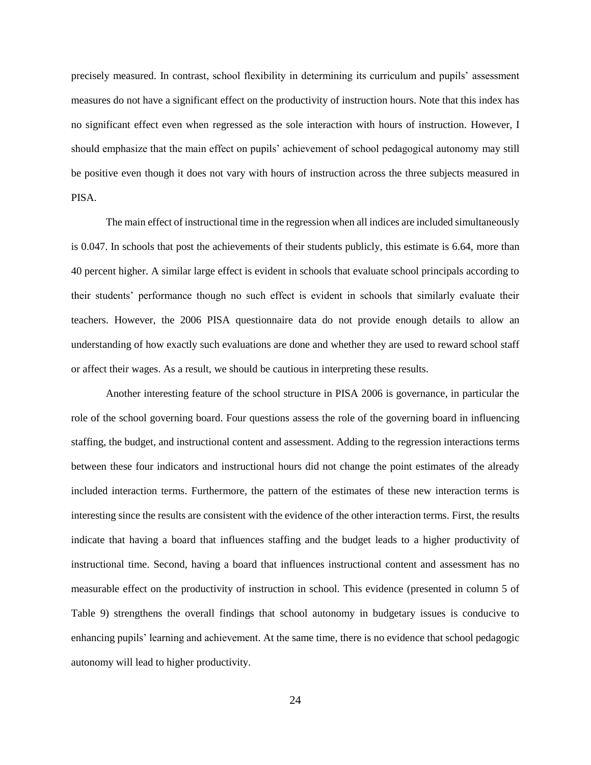precisely measured. In contrast, school flexibility in determining its curriculum and pupils' assessment measures do not have a significant effect on the productivity of instruction hours. Note that this index has no significant effect even when regressed as the sole interaction with hours of instruction. However, I should emphasize that the main effect on pupils' achievement of school pedagogical autonomy may still be positive even though it does not vary with hours of instruction across the three subjects measured in PISA.

The main effect of instructional time in the regression when all indices are included simultaneously is 0.047. In schools that post the achievements of their students publicly, this estimate is 6.64, more than 40 percent higher. A similar large effect is evident in schools that evaluate school principals according to their students' performance though no such effect is evident in schools that similarly evaluate their teachers. However, the 2006 PISA questionnaire data do not provide enough details to allow an understanding of how exactly such evaluations are done and whether they are used to reward school staff or affect their wages. As a result, we should be cautious in interpreting these results.

Another interesting feature of the school structure in PISA 2006 is governance, in particular the role of the school governing board. Four questions assess the role of the governing board in influencing staffing, the budget, and instructional content and assessment. Adding to the regression interactions terms between these four indicators and instructional hours did not change the point estimates of the already included interaction terms. Furthermore, the pattern of the estimates of these new interaction terms is interesting since the results are consistent with the evidence of the other interaction terms. First, the results indicate that having a board that influences staffing and the budget leads to a higher productivity of instructional time. Second, having a board that influences instructional content and assessment has no measurable effect on the productivity of instruction in school. This evidence (presented in column 5 of Table 9) strengthens the overall findings that school autonomy in budgetary issues is conducive to enhancing pupils' learning and achievement. At the same time, there is no evidence that school pedagogic autonomy will lead to higher productivity.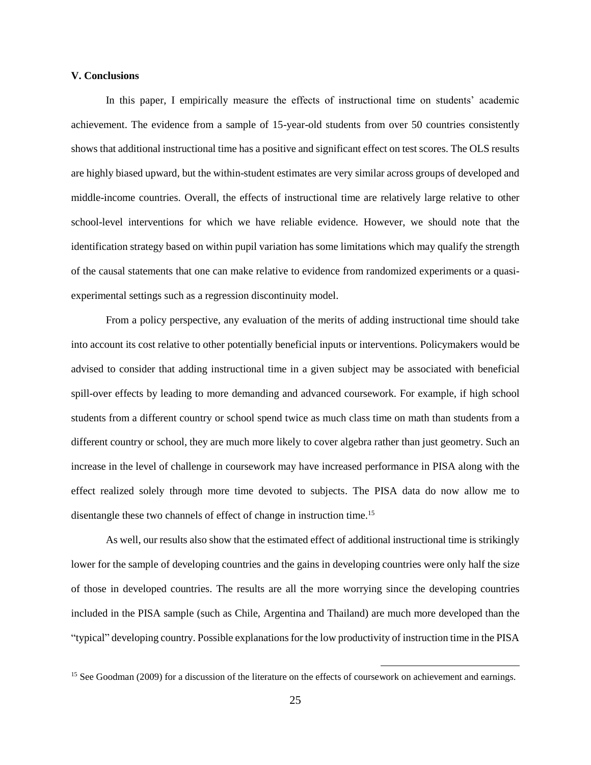#### **V. Conclusions**

In this paper, I empirically measure the effects of instructional time on students' academic achievement. The evidence from a sample of 15-year-old students from over 50 countries consistently shows that additional instructional time has a positive and significant effect on test scores. The OLS results are highly biased upward, but the within-student estimates are very similar across groups of developed and middle-income countries. Overall, the effects of instructional time are relatively large relative to other school-level interventions for which we have reliable evidence. However, we should note that the identification strategy based on within pupil variation has some limitations which may qualify the strength of the causal statements that one can make relative to evidence from randomized experiments or a quasiexperimental settings such as a regression discontinuity model.

From a policy perspective, any evaluation of the merits of adding instructional time should take into account its cost relative to other potentially beneficial inputs or interventions. Policymakers would be advised to consider that adding instructional time in a given subject may be associated with beneficial spill-over effects by leading to more demanding and advanced coursework. For example, if high school students from a different country or school spend twice as much class time on math than students from a different country or school, they are much more likely to cover algebra rather than just geometry. Such an increase in the level of challenge in coursework may have increased performance in PISA along with the effect realized solely through more time devoted to subjects. The PISA data do now allow me to disentangle these two channels of effect of change in instruction time.<sup>15</sup>

As well, our results also show that the estimated effect of additional instructional time is strikingly lower for the sample of developing countries and the gains in developing countries were only half the size of those in developed countries. The results are all the more worrying since the developing countries included in the PISA sample (such as Chile, Argentina and Thailand) are much more developed than the "typical" developing country. Possible explanations for the low productivity of instruction time in the PISA

<sup>&</sup>lt;sup>15</sup> See Goodman (2009) for a discussion of the literature on the effects of coursework on achievement and earnings.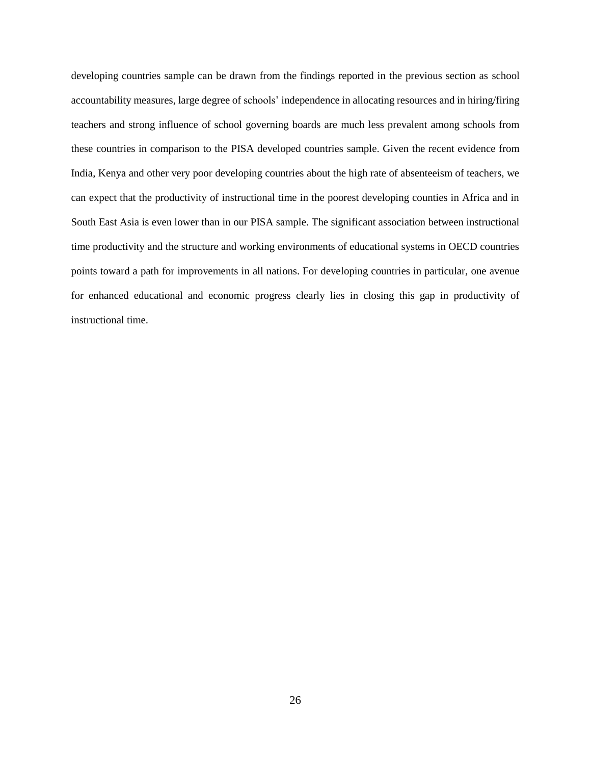developing countries sample can be drawn from the findings reported in the previous section as school accountability measures, large degree of schools' independence in allocating resources and in hiring/firing teachers and strong influence of school governing boards are much less prevalent among schools from these countries in comparison to the PISA developed countries sample. Given the recent evidence from India, Kenya and other very poor developing countries about the high rate of absenteeism of teachers, we can expect that the productivity of instructional time in the poorest developing counties in Africa and in South East Asia is even lower than in our PISA sample. The significant association between instructional time productivity and the structure and working environments of educational systems in OECD countries points toward a path for improvements in all nations. For developing countries in particular, one avenue for enhanced educational and economic progress clearly lies in closing this gap in productivity of instructional time.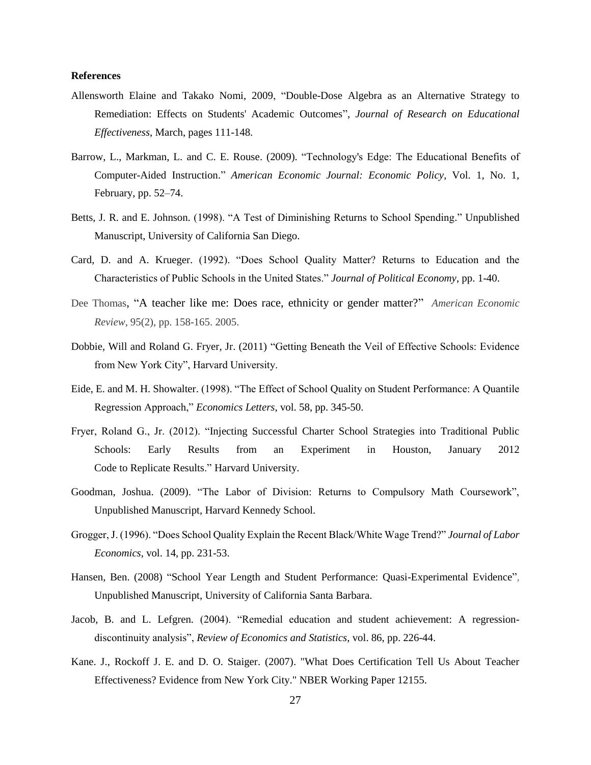#### **References**

- Allensworth Elaine and Takako Nomi, 2009, "Double-Dose Algebra as an Alternative Strategy to Remediation: Effects on Students' Academic Outcomes", *Journal of Research on Educational Effectiveness*, March, pages 111-148.
- Barrow, L., Markman, L. and C. E. Rouse. (2009). "Technology's Edge: The Educational Benefits of Computer-Aided Instruction." *American Economic Journal: Economic Policy*, Vol. 1, No. 1, February, pp. 52–74.
- Betts, J. R. and E. Johnson. (1998). "A Test of Diminishing Returns to School Spending." Unpublished Manuscript, University of California San Diego.
- Card, D. and A. Krueger. (1992). "Does School Quality Matter? Returns to Education and the Characteristics of Public Schools in the United States." *Journal of Political Economy*, pp. 1-40.
- Dee Thomas, ["A teacher like me: Does race, ethnicity or gender matter?"](http://cepa.stanford.edu/content/teacher-me-does-race-ethnicity-or-gender-matter) *American Economic Review,* 95(2), pp. 158-165. 2005.
- Dobbie, Will and Roland G. Fryer, Jr. (2011) "Getting Beneath the Veil of Effective Schools: Evidence from New York City", Harvard University.
- Eide, E. and M. H. Showalter. (1998). "The Effect of School Quality on Student Performance: A Quantile Regression Approach," *Economics Letters*, vol. 58, pp. 345-50.
- Fryer, Roland G., Jr. (2012). ["Injecting Successful Charter School Strategies into Traditional Public](http://www.economics.harvard.edu/faculty/fryer/files/charter_school_strategies.pdf)  [Schools: Early Results from an Experiment in Houston,](http://www.economics.harvard.edu/faculty/fryer/files/charter_school_strategies.pdf) January 201[2](file://faculty/fryer/files/Houston.do) [Code to Replicate Results.](file://faculty/fryer/files/Houston.do)" Harvard University.
- Goodman, Joshua. (2009). "The Labor of Division: Returns to Compulsory Math Coursework", Unpublished Manuscript, Harvard Kennedy School.
- Grogger, J. (1996). "Does School Quality Explain the Recent Black/White Wage Trend?" *Journal of Labor Economics*, vol. 14, pp. 231-53.
- Hansen, Ben. (2008) ["School Year Length and Student Performance: Quasi-Experimental Evidence"](http://benjaminhansen.yolasite.com/resources/School%20Year%20Length%20and%20Student%20Performance%20Quasi-Experimental%20Evidence.pdf), Unpublished Manuscript, University of California Santa Barbara.
- Jacob, B. and L. Lefgren. (2004). "Remedial education and student achievement: A regressiondiscontinuity analysis", *Review of Economics and Statistics*, vol. 86, pp. 226-44.
- Kane. J., Rockoff J. E. and D. O. Staiger. (2007). "What Does Certification Tell Us About Teacher Effectiveness? Evidence from New York City." NBER Working Paper 12155.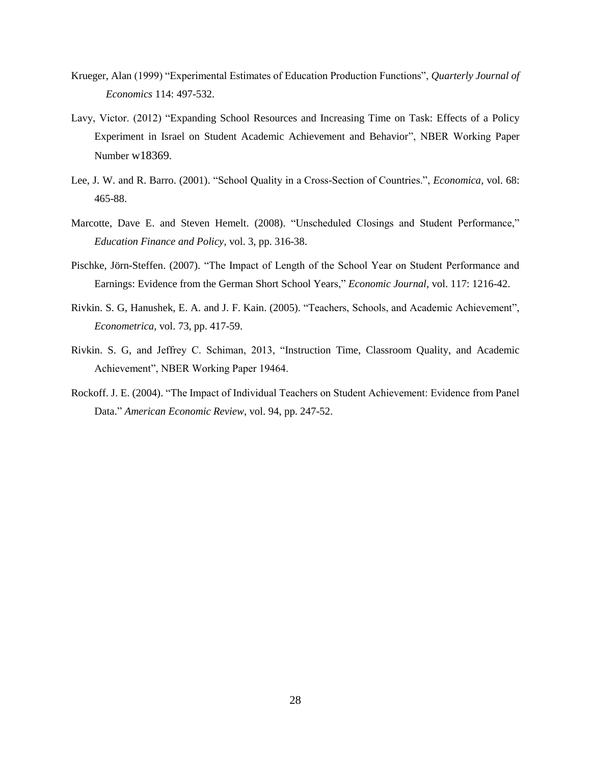- Krueger, Alan (1999) "Experimental Estimates of Education Production Functions", *Quarterly Journal of Economics* 114: 497-532.
- Lavy, Victor. (2012) "Expanding School Resources and Increasing Time on Task: Effects of a Policy Experiment in Israel on Student Academic Achievement and Behavior", NBER Working Paper Number w18369.
- Lee, J. W. and R. Barro. (2001). "School Quality in a Cross-Section of Countries.", *Economica*, vol. 68: 465-88.
- Marcotte, Dave E. and Steven Hemelt. (2008). "Unscheduled Closings and Student Performance," *Education Finance and Policy*, vol. 3, pp. 316-38.
- Pischke, Jörn-Steffen. (2007). "The Impact of Length of the School Year on Student Performance and Earnings: Evidence from the German Short School Years," *Economic Journal*, vol. 117: 1216-42.
- Rivkin. S. G, Hanushek, E. A. and J. F. Kain. (2005). "Teachers, Schools, and Academic Achievement", *Econometrica*, vol. 73, pp. 417-59.
- Rivkin. S. G, and Jeffrey C. Schiman, 2013, "Instruction Time, Classroom Quality, and Academic Achievement", NBER Working Paper 19464.
- Rockoff. J. E. (2004). "The Impact of Individual Teachers on Student Achievement: Evidence from Panel Data." *American Economic Review*, vol. 94, pp. 247-52.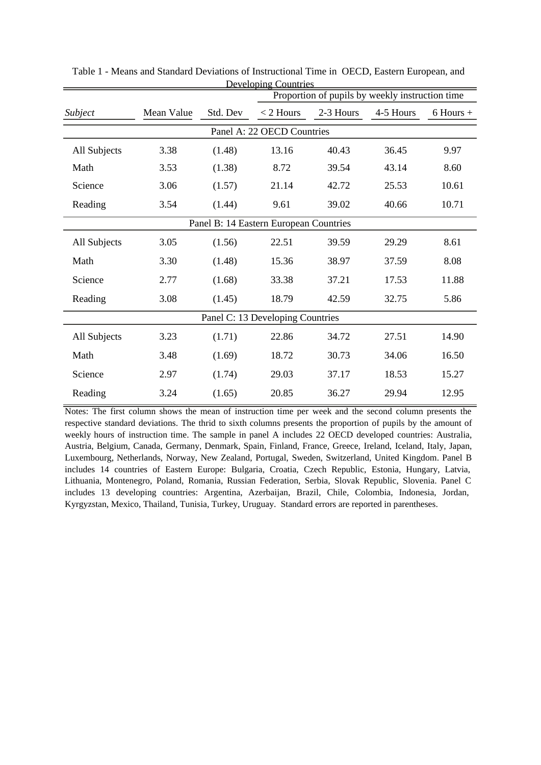|                                        |            |          | Proportion of pupils by weekly instruction time |           |           |               |  |  |  |
|----------------------------------------|------------|----------|-------------------------------------------------|-----------|-----------|---------------|--|--|--|
| Subject                                | Mean Value | Std. Dev | $<$ 2 Hours                                     | 2-3 Hours | 4-5 Hours | $6$ Hours $+$ |  |  |  |
|                                        |            |          | Panel A: 22 OECD Countries                      |           |           |               |  |  |  |
| All Subjects                           | 3.38       | (1.48)   | 13.16                                           | 40.43     | 36.45     | 9.97          |  |  |  |
| Math                                   | 3.53       | (1.38)   | 8.72                                            | 39.54     | 43.14     | 8.60          |  |  |  |
| Science                                | 3.06       | (1.57)   | 21.14                                           | 42.72     | 25.53     | 10.61         |  |  |  |
| Reading                                | 3.54       | (1.44)   | 9.61                                            | 39.02     |           | 10.71         |  |  |  |
| Panel B: 14 Eastern European Countries |            |          |                                                 |           |           |               |  |  |  |
| All Subjects                           | 3.05       | (1.56)   | 22.51                                           | 39.59     | 29.29     | 8.61          |  |  |  |
| Math                                   | 3.30       | (1.48)   | 15.36                                           | 38.97     | 37.59     | 8.08          |  |  |  |
| Science                                | 2.77       | (1.68)   | 33.38                                           | 37.21     | 17.53     | 11.88         |  |  |  |
| Reading                                | 3.08       | (1.45)   | 18.79                                           | 42.59     | 32.75     | 5.86          |  |  |  |
|                                        |            |          | Panel C: 13 Developing Countries                |           |           |               |  |  |  |
| All Subjects                           | 3.23       | (1.71)   | 22.86                                           | 34.72     | 27.51     | 14.90         |  |  |  |
| Math                                   | 3.48       | (1.69)   | 18.72                                           | 30.73     | 34.06     | 16.50         |  |  |  |
| Science                                | 2.97       | (1.74)   | 29.03                                           | 37.17     | 18.53     | 15.27         |  |  |  |
| Reading                                | 3.24       | (1.65)   | 20.85                                           | 36.27     |           | 12.95         |  |  |  |

Table 1 - Means and Standard Deviations of Instructional Time in OECD, Eastern European, and Developing Countries

Notes: The first column shows the mean of instruction time per week and the second column presents the respective standard deviations. The thrid to sixth columns presents the proportion of pupils by the amount of weekly hours of instruction time. The sample in panel A includes 22 OECD developed countries: Australia, Austria, Belgium, Canada, Germany, Denmark, Spain, Finland, France, Greece, Ireland, Iceland, Italy, Japan, Luxembourg, Netherlands, Norway, New Zealand, Portugal, Sweden, Switzerland, United Kingdom. Panel B includes 14 countries of Eastern Europe: Bulgaria, Croatia, Czech Republic, Estonia, Hungary, Latvia, Lithuania, Montenegro, Poland, Romania, Russian Federation, Serbia, Slovak Republic, Slovenia. Panel C includes 13 developing countries: Argentina, Azerbaijan, Brazil, Chile, Colombia, Indonesia, Jordan, Kyrgyzstan, Mexico, Thailand, Tunisia, Turkey, Uruguay. Standard errors are reported in parentheses.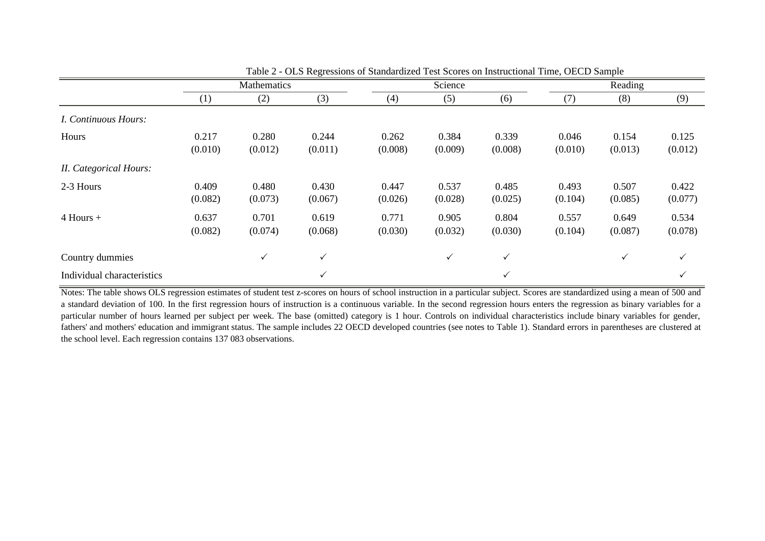|                               |         | Mathematics  |              |         | Science      |              |         | Reading      |              |  |
|-------------------------------|---------|--------------|--------------|---------|--------------|--------------|---------|--------------|--------------|--|
|                               | (1)     | (2)          | (3)          | (4)     | (5)          | (6)          | (7)     | (8)          | (9)          |  |
| I. Continuous Hours:          |         |              |              |         |              |              |         |              |              |  |
| Hours                         | 0.217   | 0.280        | 0.244        | 0.262   | 0.384        | 0.339        | 0.046   | 0.154        | 0.125        |  |
|                               | (0.010) | (0.012)      | (0.011)      | (0.008) | (0.009)      | (0.008)      | (0.010) | (0.013)      | (0.012)      |  |
| <b>II.</b> Categorical Hours: |         |              |              |         |              |              |         |              |              |  |
| 2-3 Hours                     | 0.409   | 0.480        | 0.430        | 0.447   | 0.537        | 0.485        | 0.493   | 0.507        | 0.422        |  |
|                               | (0.082) | (0.073)      | (0.067)      | (0.026) | (0.028)      | (0.025)      | (0.104) | (0.085)      | (0.077)      |  |
| $4$ Hours $+$                 | 0.637   | 0.701        | 0.619        | 0.771   | 0.905        | 0.804        | 0.557   | 0.649        | 0.534        |  |
|                               | (0.082) | (0.074)      | (0.068)      | (0.030) | (0.032)      | (0.030)      | (0.104) | (0.087)      | (0.078)      |  |
| Country dummies               |         | $\checkmark$ | $\checkmark$ |         | $\checkmark$ | $\checkmark$ |         | $\checkmark$ | $\checkmark$ |  |
| Individual characteristics    |         |              | $\checkmark$ |         |              | $\checkmark$ |         |              | $\checkmark$ |  |

Table 2 - OLS Regressions of Standardized Test Scores on Instructional Time, OECD Sample

Notes: The table shows OLS regression estimates of student test z-scores on hours of school instruction in <sup>a</sup> particular subject. Scores are standardized using <sup>a</sup> mean of 500 and <sup>a</sup> standard deviation of 100. In the first regression hours of instruction is <sup>a</sup> continuous variable. In the second regression hours enters the regression as binary variables for <sup>a</sup> particular number of hours learned per subject per week. The base (omitted) category is 1 hour. Controls on individual characteristics include binary variables for gender, fathers' and mothers' education and immigrant status. The sample includes 22 OECD developed countries (see notes to Table 1). Standard errors in parentheses are clustered at the school level. Each regression contains 137 083 observations.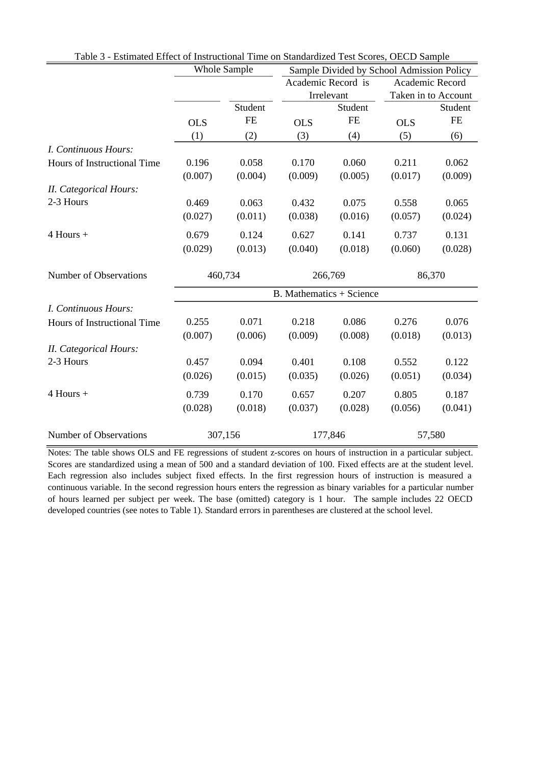|                               |            | Whole Sample | Sample Divided by School Admission Policy |            |                 |                     |  |
|-------------------------------|------------|--------------|-------------------------------------------|------------|-----------------|---------------------|--|
|                               |            |              | Academic Record is                        |            | Academic Record |                     |  |
|                               |            |              |                                           | Irrelevant |                 | Taken in to Account |  |
|                               |            | Student      |                                           | Student    |                 | Student             |  |
|                               | <b>OLS</b> | <b>FE</b>    | <b>OLS</b>                                | <b>FE</b>  | <b>OLS</b>      | <b>FE</b>           |  |
|                               | (1)        | (2)          | (3)                                       | (4)        | (5)             | (6)                 |  |
| I. Continuous Hours:          |            |              |                                           |            |                 |                     |  |
| Hours of Instructional Time   | 0.196      | 0.058        | 0.170                                     | 0.060      | 0.211           | 0.062               |  |
|                               | (0.007)    | (0.004)      | (0.009)                                   | (0.005)    | (0.017)         | (0.009)             |  |
| <b>II.</b> Categorical Hours: |            |              |                                           |            |                 |                     |  |
| 2-3 Hours                     | 0.469      | 0.063        | 0.432                                     | 0.075      | 0.558           | 0.065               |  |
|                               | (0.027)    | (0.011)      | (0.038)                                   | (0.016)    | (0.057)         | (0.024)             |  |
| $4$ Hours $+$                 | 0.679      | 0.124        | 0.627                                     | 0.141      | 0.737           | 0.131               |  |
|                               | (0.029)    | (0.013)      | (0.040)                                   | (0.018)    | (0.060)         | (0.028)             |  |
| Number of Observations        |            | 460,734      |                                           | 266,769    | 86,370          |                     |  |
|                               |            |              | B. Mathematics + Science                  |            |                 |                     |  |
| I. Continuous Hours:          |            |              |                                           |            |                 |                     |  |
| Hours of Instructional Time   | 0.255      | 0.071        | 0.218                                     | 0.086      | 0.276           | 0.076               |  |
|                               | (0.007)    | (0.006)      | (0.009)                                   | (0.008)    | (0.018)         | (0.013)             |  |
| <b>II.</b> Categorical Hours: |            |              |                                           |            |                 |                     |  |
| 2-3 Hours                     | 0.457      | 0.094        | 0.401                                     | 0.108      | 0.552           | 0.122               |  |
|                               | (0.026)    | (0.015)      | (0.035)                                   | (0.026)    | (0.051)         | (0.034)             |  |
| $4$ Hours $+$                 | 0.739      | 0.170        | 0.657                                     | 0.207      | 0.805           | 0.187               |  |
|                               | (0.028)    | (0.018)      | (0.037)                                   | (0.028)    | (0.056)         | (0.041)             |  |
| Number of Observations        | 307,156    |              |                                           | 177,846    | 57,580          |                     |  |

Table 3 - Estimated Effect of Instructional Time on Standardized Test Scores, OECD Sample

Notes: The table shows OLS and FE regressions of student z-scores on hours of instruction in a particular subject. Scores are standardized using a mean of 500 and a standard deviation of 100. Fixed effects are at the student level. Each regression also includes subject fixed effects. In the first regression hours of instruction is measured a continuous variable. In the second regression hours enters the regression as binary variables for a particular number of hours learned per subject per week. The base (omitted) category is 1 hour. The sample includes 22 OECD developed countries (see notes to Table 1). Standard errors in parentheses are clustered at the school level.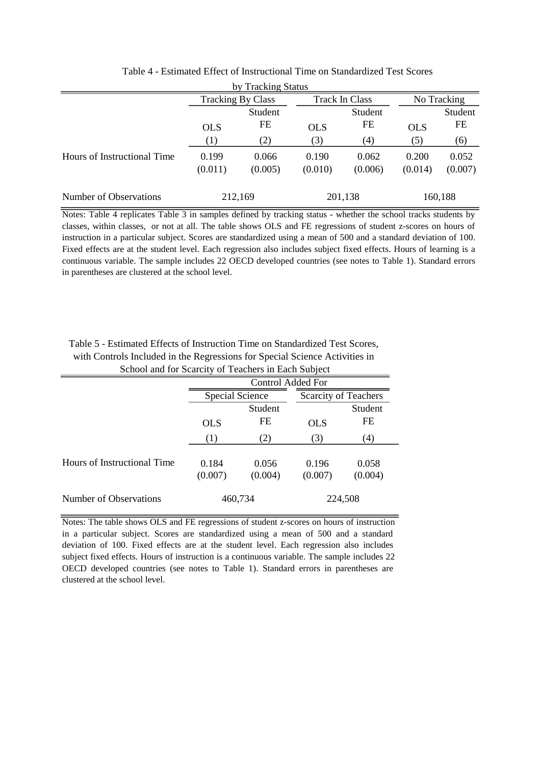| by Tracking Status          |                  |                          |                  |                       |                  |                  |  |  |  |
|-----------------------------|------------------|--------------------------|------------------|-----------------------|------------------|------------------|--|--|--|
|                             |                  | <b>Tracking By Class</b> |                  | <b>Track In Class</b> | No Tracking      |                  |  |  |  |
|                             | Student          |                          |                  | Student               |                  | Student          |  |  |  |
|                             | <b>OLS</b>       | FE                       | <b>OLS</b>       | FE                    | <b>OLS</b>       | FE               |  |  |  |
|                             | $\left(1\right)$ | (2)                      | (3)              | (4)                   | (5)              | (6)              |  |  |  |
| Hours of Instructional Time | 0.199<br>(0.011) | 0.066<br>(0.005)         | 0.190<br>(0.010) | 0.062<br>(0.006)      | 0.200<br>(0.014) | 0.052<br>(0.007) |  |  |  |
| Number of Observations      | 212,169          |                          |                  | 201,138               | 160,188          |                  |  |  |  |

Table 4 - Estimated Effect of Instructional Time on Standardized Test Scores

Notes: Table 4 replicates Table 3 in samples defined by tracking status - whether the school tracks students by classes, within classes, or not at all. The table shows OLS and FE regressions of student z-scores on hours of instruction in a particular subject. Scores are standardized using a mean of 500 and a standard deviation of 100. Fixed effects are at the student level. Each regression also includes subject fixed effects. Hours of learning is a continuous variable. The sample includes 22 OECD developed countries (see notes to Table 1). Standard errors in parentheses are clustered at the school level.

| Table 5 - Estimated Effects of Instruction Time on Standardized Test Scores, |
|------------------------------------------------------------------------------|
| with Controls Included in the Regressions for Special Science Activities in  |
| School and for Scarcity of Teachers in Each Subject                          |

|                             | <b>Control Added For</b> |                                         |                  |                  |  |  |  |  |  |
|-----------------------------|--------------------------|-----------------------------------------|------------------|------------------|--|--|--|--|--|
|                             |                          | Scarcity of Teachers<br>Special Science |                  |                  |  |  |  |  |  |
|                             |                          | Student                                 |                  | Student          |  |  |  |  |  |
|                             | <b>OLS</b>               | FE                                      | <b>OLS</b>       | FE               |  |  |  |  |  |
|                             | (1)                      | (2)                                     | (3)              | (4)              |  |  |  |  |  |
| Hours of Instructional Time | 0.184<br>(0.007)         | 0.056<br>(0.004)                        | 0.196<br>(0.007) | 0.058<br>(0.004) |  |  |  |  |  |
| Number of Observations      | 460,734                  |                                         | 224,508          |                  |  |  |  |  |  |

Notes: The table shows OLS and FE regressions of student z-scores on hours of instruction in a particular subject. Scores are standardized using a mean of 500 and a standard deviation of 100. Fixed effects are at the student level. Each regression also includes subject fixed effects. Hours of instruction is a continuous variable. The sample includes 22 OECD developed countries (see notes to Table 1). Standard errors in parentheses are clustered at the school level.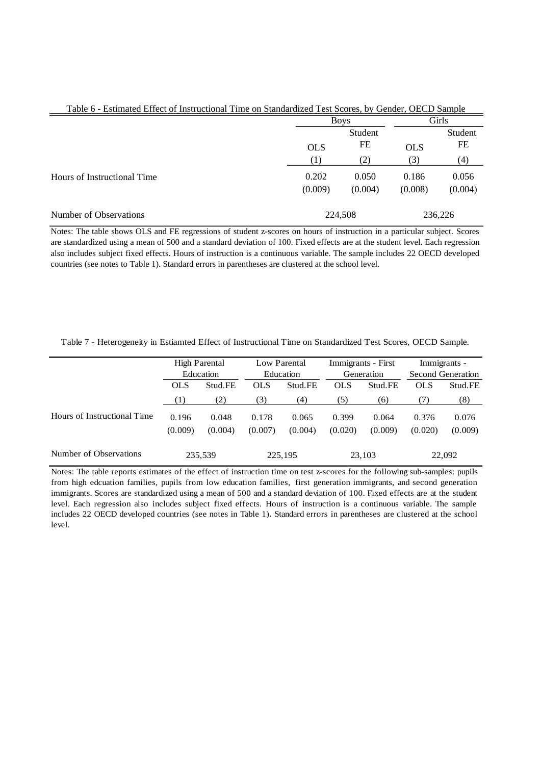|                             |            | <b>Boys</b> | Girls      |         |  |
|-----------------------------|------------|-------------|------------|---------|--|
|                             |            | Student     |            | Student |  |
|                             | <b>OLS</b> | FE          | <b>OLS</b> | FE      |  |
|                             |            | (2)         | (3)        | (4)     |  |
| Hours of Instructional Time | 0.202      | 0.050       | 0.186      | 0.056   |  |
|                             | (0.009)    | (0.004)     | (0.008)    | (0.004) |  |
| Number of Observations      |            | 224,508     |            | 236,226 |  |

#### Table 6 - Estimated Effect of Instructional Time on Standardized Test Scores, by Gender, OECD Sample

Notes: The table shows OLS and FE regressions of student z-scores on hours of instruction in a particular subject. Scores are standardized using a mean of 500 and a standard deviation of 100. Fixed effects are at the student level. Each regression also includes subject fixed effects. Hours of instruction is a continuous variable. The sample includes 22 OECD developed countries (see notes to Table 1). Standard errors in parentheses are clustered at the school level.

Table 7 - Heterogeneity in Estiamted Effect of Instructional Time on Standardized Test Scores, OECD Sample.

|                             | <b>High Parental</b> |         | Low Parental |           |            | Immigrants - First | Immigrants -             |         |
|-----------------------------|----------------------|---------|--------------|-----------|------------|--------------------|--------------------------|---------|
|                             | Education            |         |              | Education |            | Generation         | <b>Second Generation</b> |         |
|                             | <b>OLS</b>           | Stud.FE |              | Stud.FE   | <b>OLS</b> | Stud.FE            | <b>OLS</b>               | Stud.FE |
|                             | (1)                  | (2)     | (3)          | (4)       | (5)        | (6)                | (7)                      | (8)     |
| Hours of Instructional Time | 0.196                | 0.048   | 0.178        | 0.065     | 0.399      | 0.064              | 0.376                    | 0.076   |
|                             | (0.009)              | (0.004) | (0.007)      | (0.004)   | (0.020)    | (0.009)            | (0.020)                  | (0.009) |
| Number of Observations      | 235,539              |         | 225,195      |           | 23,103     |                    | 22,092                   |         |

Notes: The table reports estimates of the effect of instruction time on test z-scores for the following sub-samples: pupils from high edcuation families, pupils from low education families, first generation immigrants, and second generation immigrants. Scores are standardized using a mean of 500 and a standard deviation of 100. Fixed effects are at the student level. Each regression also includes subject fixed effects. Hours of instruction is a continuous variable. The sample includes 22 OECD developed countries (see notes in Table 1). Standard errors in parentheses are clustered at the school level.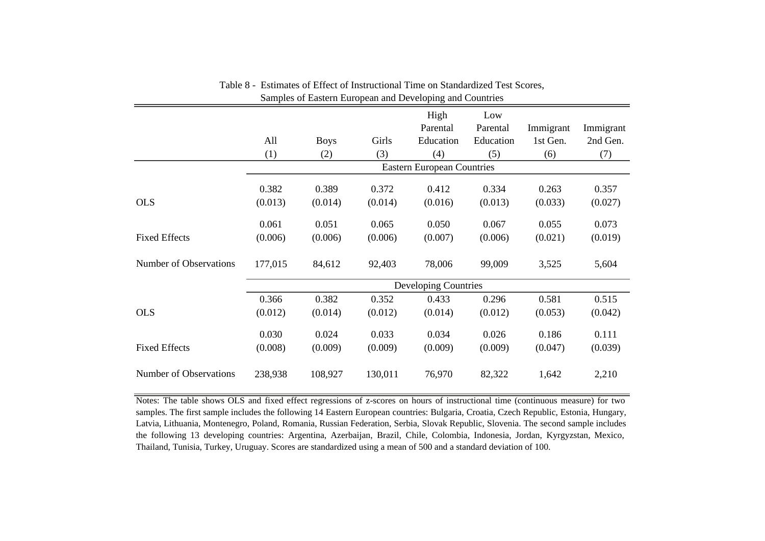|                        |                  |                    |                  | $\beta$ of $\beta$ and $\beta$ and $\beta$ and $\beta$ and $\beta$ and $\beta$ and $\beta$ and $\beta$ |                                     |                              |                              |
|------------------------|------------------|--------------------|------------------|--------------------------------------------------------------------------------------------------------|-------------------------------------|------------------------------|------------------------------|
|                        | All<br>(1)       | <b>Boys</b><br>(2) | Girls<br>(3)     | High<br>Parental<br>Education<br>(4)                                                                   | Low<br>Parental<br>Education<br>(5) | Immigrant<br>1st Gen.<br>(6) | Immigrant<br>2nd Gen.<br>(7) |
|                        |                  |                    |                  | <b>Eastern European Countries</b>                                                                      |                                     |                              |                              |
|                        |                  |                    |                  |                                                                                                        |                                     |                              |                              |
|                        | 0.382            | 0.389              | 0.372            | 0.412                                                                                                  | 0.334                               | 0.263                        | 0.357                        |
| <b>OLS</b>             | (0.013)          | (0.014)            | (0.014)          | (0.016)                                                                                                | (0.013)                             | (0.033)                      | (0.027)                      |
|                        | 0.061            | 0.051              | 0.065            | 0.050                                                                                                  | 0.067                               | 0.055                        | 0.073                        |
| <b>Fixed Effects</b>   | (0.006)          | (0.006)            | (0.006)          | (0.007)                                                                                                | (0.006)                             | (0.021)                      | (0.019)                      |
| Number of Observations | 177,015          | 84,612             | 92,403           | 78,006                                                                                                 | 99,009                              | 3,525                        | 5,604                        |
|                        |                  |                    |                  | Developing Countries                                                                                   |                                     |                              |                              |
|                        | 0.366            | 0.382              | 0.352            | 0.433                                                                                                  | 0.296                               | 0.581                        | 0.515                        |
| <b>OLS</b>             | (0.012)          | (0.014)            | (0.012)          | (0.014)                                                                                                | (0.012)                             | (0.053)                      | (0.042)                      |
| <b>Fixed Effects</b>   | 0.030<br>(0.008) | 0.024<br>(0.009)   | 0.033<br>(0.009) | 0.034<br>(0.009)                                                                                       | 0.026<br>(0.009)                    | 0.186<br>(0.047)             | 0.111<br>(0.039)             |
| Number of Observations | 238,938          | 108,927            | 130,011          | 76,970                                                                                                 | 82,322                              | 1,642                        | 2,210                        |

## Table 8 - Estimates of Effect of Instructional Time on Standardized Test Scores,

Samples of Eastern European and Developing and Countries

Notes: The table shows OLS and fixed effect regressions of z-scores on hours of instructional time (continuous measure) for two samples. The first sample includes the following 14 Eastern European countries: Bulgaria, Croatia, Czech Republic, Estonia, Hungary, Latvia, Lithuania, Montenegro, Poland, Romania, Russian Federation, Serbia, Slovak Republic, Slovenia. The second sample includes the following 13 developing countries: Argentina, Azerbaijan, Brazil, Chile, Colombia, Indonesia, Jordan, Kyrgyzstan, Mexico, Thailand, Tunisia, Turkey, Uruguay. Scores are standardized using a mean of 500 and a standard deviation of 100.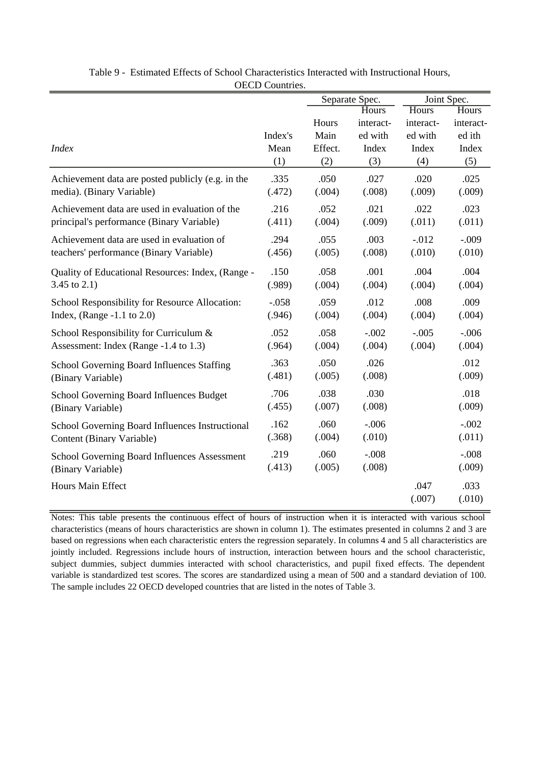|                                                   |         |         | Separate Spec. |           | Joint Spec. |
|---------------------------------------------------|---------|---------|----------------|-----------|-------------|
|                                                   |         |         | Hours          | Hours     | Hours       |
|                                                   |         | Hours   | interact-      | interact- | interact-   |
|                                                   | Index's | Main    | ed with        | ed with   | ed ith      |
| <b>Index</b>                                      | Mean    | Effect. | Index          | Index     | Index       |
|                                                   | (1)     | (2)     | (3)            | (4)       | (5)         |
| Achievement data are posted publicly (e.g. in the | .335    | .050    | .027           | .020      | .025        |
| media). (Binary Variable)                         | (.472)  | (.004)  | (.008)         | (.009)    | (.009)      |
|                                                   |         |         |                |           |             |
| Achievement data are used in evaluation of the    | .216    | .052    | .021           | .022      | .023        |
| principal's performance (Binary Variable)         | (.411)  | (.004)  | (.009)         | (.011)    | (.011)      |
| Achievement data are used in evaluation of        | .294    | .055    | .003           | $-.012$   | $-.009$     |
| teachers' performance (Binary Variable)           | (.456)  | (.005)  | (.008)         | (.010)    | (.010)      |
| Quality of Educational Resources: Index, (Range - | .150    | .058    | .001           | .004      | .004        |
| 3.45 to $2.1$ )                                   | (.989)  | (.004)  | (.004)         | (.004)    | (.004)      |
|                                                   |         |         |                |           |             |
| School Responsibility for Resource Allocation:    | $-.058$ | .059    | .012           | .008      | .009        |
| Index, (Range $-1.1$ to 2.0)                      | (.946)  | (.004)  | (.004)         | (.004)    | (.004)      |
| School Responsibility for Curriculum &            | .052    | .058    | $-.002$        | $-.005$   | $-.006$     |
| Assessment: Index (Range -1.4 to 1.3)             | (.964)  | (.004)  | (.004)         | (.004)    | (.004)      |
|                                                   | .363    | .050    | .026           |           | .012        |
| School Governing Board Influences Staffing        |         |         |                |           |             |
| (Binary Variable)                                 | (.481)  | (.005)  | (.008)         |           | (.009)      |
| School Governing Board Influences Budget          | .706    | .038    | .030           |           | .018        |
| (Binary Variable)                                 | (.455)  | (.007)  | (.008)         |           | (.009)      |
| School Governing Board Influences Instructional   | .162    | .060    | $-.006$        |           | $-.002$     |
| Content (Binary Variable)                         | (.368)  | (.004)  | (.010)         |           | (.011)      |
|                                                   |         |         |                |           |             |
| School Governing Board Influences Assessment      | .219    | .060    | $-.008$        |           | $-.008$     |
| (Binary Variable)                                 | (.413)  | (.005)  | (.008)         |           | (.009)      |
| Hours Main Effect                                 |         |         |                | .047      | .033        |
|                                                   |         |         |                | (.007)    | (.010)      |
|                                                   |         |         |                |           |             |

Table 9 - Estimated Effects of School Characteristics Interacted with Instructional Hours, OECD Countries.

Notes: This table presents the continuous effect of hours of instruction when it is interacted with various school characteristics (means of hours characteristics are shown in column 1). The estimates presented in columns 2 and 3 are based on regressions when each characteristic enters the regression separately. In columns 4 and 5 all characteristics are jointly included. Regressions include hours of instruction, interaction between hours and the school characteristic, subject dummies, subject dummies interacted with school characteristics, and pupil fixed effects. The dependent variable is standardized test scores. The scores are standardized using a mean of 500 and a standard deviation of 100. The sample includes 22 OECD developed countries that are listed in the notes of Table 3.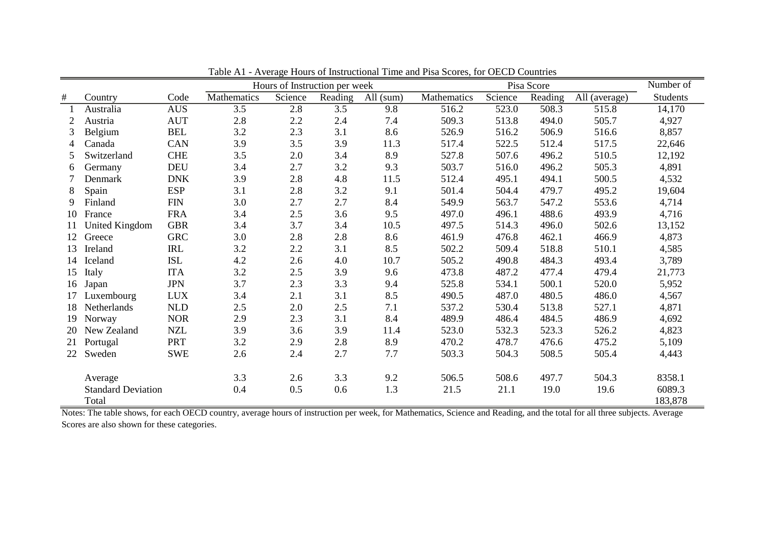|      |                           |             |             |         | Hours of Instruction per week |             | Trough Hours of Histractional Thine and Tisa Scores, for Olicio Countries |         | Pisa Score |                             | Number of |
|------|---------------------------|-------------|-------------|---------|-------------------------------|-------------|---------------------------------------------------------------------------|---------|------------|-----------------------------|-----------|
| $\#$ | Country                   | Code        | Mathematics | Science | Reading                       | All $(sum)$ | Mathematics                                                               | Science | Reading    | $\overline{Al}$ l (average) | Students  |
|      | Australia                 | <b>AUS</b>  | 3.5         | 2.8     | 3.5                           | 9.8         | 516.2                                                                     | 523.0   | 508.3      | 515.8                       | 14,170    |
| 2    | Austria                   | <b>AUT</b>  | 2.8         | 2.2     | 2.4                           | 7.4         | 509.3                                                                     | 513.8   | 494.0      | 505.7                       | 4,927     |
| 3    | Belgium                   | <b>BEL</b>  | 3.2         | 2.3     | 3.1                           | 8.6         | 526.9                                                                     | 516.2   | 506.9      | 516.6                       | 8,857     |
| 4    | Canada                    | CAN         | 3.9         | 3.5     | 3.9                           | 11.3        | 517.4                                                                     | 522.5   | 512.4      | 517.5                       | 22,646    |
| 5.   | Switzerland               | <b>CHE</b>  | 3.5         | 2.0     | 3.4                           | 8.9         | 527.8                                                                     | 507.6   | 496.2      | 510.5                       | 12,192    |
| 6    | Germany                   | <b>DEU</b>  | 3.4         | 2.7     | 3.2                           | 9.3         | 503.7                                                                     | 516.0   | 496.2      | 505.3                       | 4,891     |
|      | Denmark                   | <b>DNK</b>  | 3.9         | 2.8     | 4.8                           | 11.5        | 512.4                                                                     | 495.1   | 494.1      | 500.5                       | 4,532     |
| 8    | Spain                     | <b>ESP</b>  | 3.1         | 2.8     | 3.2                           | 9.1         | 501.4                                                                     | 504.4   | 479.7      | 495.2                       | 19,604    |
| 9    | Finland                   | ${\rm FIN}$ | 3.0         | 2.7     | 2.7                           | 8.4         | 549.9                                                                     | 563.7   | 547.2      | 553.6                       | 4,714     |
| 10   | France                    | <b>FRA</b>  | 3.4         | 2.5     | 3.6                           | 9.5         | 497.0                                                                     | 496.1   | 488.6      | 493.9                       | 4,716     |
|      | <b>United Kingdom</b>     | <b>GBR</b>  | 3.4         | 3.7     | 3.4                           | 10.5        | 497.5                                                                     | 514.3   | 496.0      | 502.6                       | 13,152    |
| 12   | Greece                    | <b>GRC</b>  | 3.0         | 2.8     | 2.8                           | 8.6         | 461.9                                                                     | 476.8   | 462.1      | 466.9                       | 4,873     |
| 13   | Ireland                   | <b>IRL</b>  | 3.2         | 2.2     | 3.1                           | 8.5         | 502.2                                                                     | 509.4   | 518.8      | 510.1                       | 4,585     |
| 14   | Iceland                   | <b>ISL</b>  | 4.2         | 2.6     | 4.0                           | 10.7        | 505.2                                                                     | 490.8   | 484.3      | 493.4                       | 3,789     |
| 15   | Italy                     | <b>ITA</b>  | 3.2         | 2.5     | 3.9                           | 9.6         | 473.8                                                                     | 487.2   | 477.4      | 479.4                       | 21,773    |
| 16   | Japan                     | <b>JPN</b>  | 3.7         | 2.3     | 3.3                           | 9.4         | 525.8                                                                     | 534.1   | 500.1      | 520.0                       | 5,952     |
|      | Luxembourg                | <b>LUX</b>  | 3.4         | 2.1     | 3.1                           | 8.5         | 490.5                                                                     | 487.0   | 480.5      | 486.0                       | 4,567     |
| 18   | Netherlands               | NLD         | 2.5         | 2.0     | 2.5                           | 7.1         | 537.2                                                                     | 530.4   | 513.8      | 527.1                       | 4,871     |
| 19   | Norway                    | <b>NOR</b>  | 2.9         | 2.3     | 3.1                           | 8.4         | 489.9                                                                     | 486.4   | 484.5      | 486.9                       | 4,692     |
| 20   | New Zealand               | <b>NZL</b>  | 3.9         | 3.6     | 3.9                           | 11.4        | 523.0                                                                     | 532.3   | 523.3      | 526.2                       | 4,823     |
| 21   | Portugal                  | PRT         | 3.2         | 2.9     | 2.8                           | 8.9         | 470.2                                                                     | 478.7   | 476.6      | 475.2                       | 5,109     |
| 22   | Sweden                    | <b>SWE</b>  | 2.6         | 2.4     | 2.7                           | 7.7         | 503.3                                                                     | 504.3   | 508.5      | 505.4                       | 4,443     |
|      | Average                   |             | 3.3         | 2.6     | 3.3                           | 9.2         | 506.5                                                                     | 508.6   | 497.7      | 504.3                       | 8358.1    |
|      | <b>Standard Deviation</b> |             | 0.4         | 0.5     | 0.6                           | 1.3         | 21.5                                                                      | 21.1    | 19.0       | 19.6                        | 6089.3    |
|      | Total                     |             |             |         |                               |             |                                                                           |         |            |                             | 183,878   |

Table A1 - Average Hours of Instructional Time and Pisa Scores, for OECD Countries

Notes: The table shows, for each OECD country, average hours of instruction per week, for Mathematics, Science and Reading, and the total for all three subjects. Average Scores are also shown for these categories.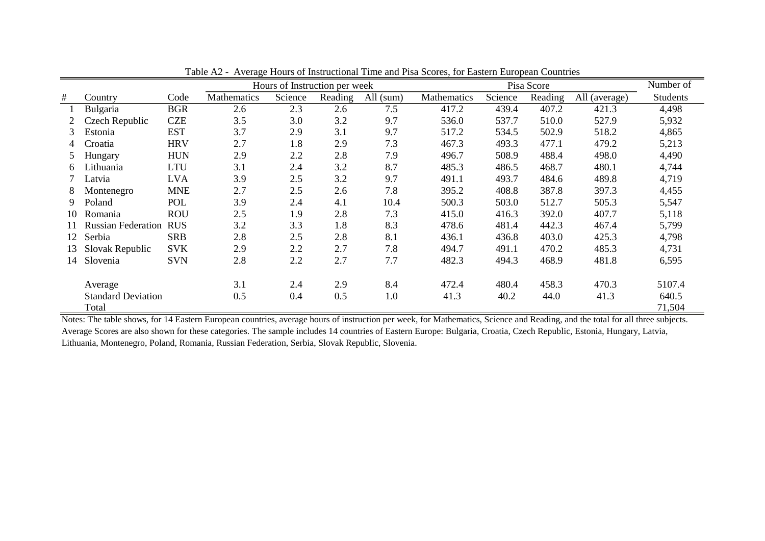|    |                               |            | 1001012     |         | Hours of Instruction per week |             | Trouge Hould of montachonal Thine and I fou becros, for Eastern European Countries |         | Pisa Score |                            | Number of |
|----|-------------------------------|------------|-------------|---------|-------------------------------|-------------|------------------------------------------------------------------------------------|---------|------------|----------------------------|-----------|
| #  | Country                       | Code       | Mathematics | Science | Reading                       | All $(sum)$ | Mathematics                                                                        | Science | Reading    | $\overline{All}$ (average) | Students  |
|    | Bulgaria                      | <b>BGR</b> | 2.6         | 2.3     | 2.6                           | 7.5         | 417.2                                                                              | 439.4   | 407.2      | 421.3                      | 4,498     |
|    | Czech Republic                | <b>CZE</b> | 3.5         | 3.0     | 3.2                           | 9.7         | 536.0                                                                              | 537.7   | 510.0      | 527.9                      | 5,932     |
| 3. | Estonia                       | <b>EST</b> | 3.7         | 2.9     | 3.1                           | 9.7         | 517.2                                                                              | 534.5   | 502.9      | 518.2                      | 4,865     |
|    | Croatia                       | <b>HRV</b> | 2.7         | 1.8     | 2.9                           | 7.3         | 467.3                                                                              | 493.3   | 477.1      | 479.2                      | 5,213     |
|    | Hungary                       | <b>HUN</b> | 2.9         | 2.2     | 2.8                           | 7.9         | 496.7                                                                              | 508.9   | 488.4      | 498.0                      | 4,490     |
|    | Lithuania                     | <b>LTU</b> | 3.1         | 2.4     | 3.2                           | 8.7         | 485.3                                                                              | 486.5   | 468.7      | 480.1                      | 4,744     |
|    | Latvia                        | <b>LVA</b> | 3.9         | 2.5     | 3.2                           | 9.7         | 491.1                                                                              | 493.7   | 484.6      | 489.8                      | 4,719     |
| 8. | Montenegro                    | <b>MNE</b> | 2.7         | 2.5     | 2.6                           | 7.8         | 395.2                                                                              | 408.8   | 387.8      | 397.3                      | 4,455     |
| 9  | Poland                        | POL        | 3.9         | 2.4     | 4.1                           | 10.4        | 500.3                                                                              | 503.0   | 512.7      | 505.3                      | 5,547     |
| 10 | Romania                       | <b>ROU</b> | 2.5         | 1.9     | 2.8                           | 7.3         | 415.0                                                                              | 416.3   | 392.0      | 407.7                      | 5,118     |
|    | <b>Russian Federation RUS</b> |            | 3.2         | 3.3     | 1.8                           | 8.3         | 478.6                                                                              | 481.4   | 442.3      | 467.4                      | 5,799     |
| 12 | Serbia                        | <b>SRB</b> | 2.8         | 2.5     | 2.8                           | 8.1         | 436.1                                                                              | 436.8   | 403.0      | 425.3                      | 4,798     |
| 13 | Slovak Republic               | <b>SVK</b> | 2.9         | 2.2     | 2.7                           | 7.8         | 494.7                                                                              | 491.1   | 470.2      | 485.3                      | 4,731     |
| 14 | Slovenia                      | <b>SVN</b> | 2.8         | 2.2     | 2.7                           | 7.7         | 482.3                                                                              | 494.3   | 468.9      | 481.8                      | 6,595     |
|    | Average                       |            | 3.1         | 2.4     | 2.9                           | 8.4         | 472.4                                                                              | 480.4   | 458.3      | 470.3                      | 5107.4    |
|    | <b>Standard Deviation</b>     |            | 0.5         | 0.4     | 0.5                           | 1.0         | 41.3                                                                               | 40.2    | 44.0       | 41.3                       | 640.5     |
|    | Total                         |            |             |         |                               |             |                                                                                    |         |            |                            | 71,504    |

Table A2 - Average Hours of Instructional Time and Pisa Scores, for Eastern European Countries

Notes: The table shows, for 14 Eastern European countries, average hours of instruction per week, for Mathematics, Science and Reading, and the total for all three subjects. Average Scores are also shown for these categories. The sample includes 14 countries of Eastern Europe: Bulgaria, Croatia, Czech Republic, Estonia, Hungary, Latvia, Lithuania, Montenegro, Poland, Romania, Russian Federation, Serbia, Slovak Republic, Slovenia.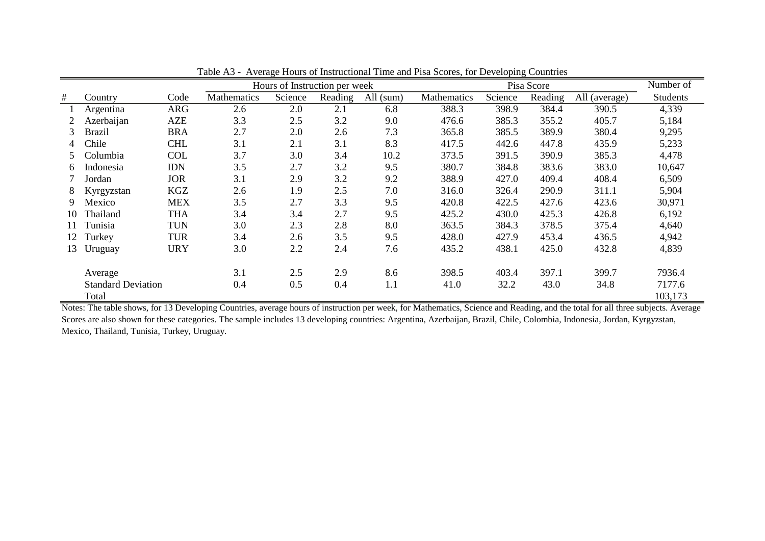|                           |               |            | 1 avit <i>1</i> 10<br>Trends Trouts of modulational Trine and Trou Deores, for Developing Countries<br>Hours of Instruction per week |         |         |             | Pisa Score  |         |         |               | Number of       |
|---------------------------|---------------|------------|--------------------------------------------------------------------------------------------------------------------------------------|---------|---------|-------------|-------------|---------|---------|---------------|-----------------|
| #                         | Country       | Code       | Mathematics                                                                                                                          | Science | Reading | All $(sum)$ | Mathematics | Science | Reading | All (average) | <b>Students</b> |
|                           | Argentina     | ARG        | 2.6                                                                                                                                  | 2.0     | 2.1     | 6.8         | 388.3       | 398.9   | 384.4   | 390.5         | 4,339           |
|                           | Azerbaijan    | AZE        | 3.3                                                                                                                                  | 2.5     | 3.2     | 9.0         | 476.6       | 385.3   | 355.2   | 405.7         | 5,184           |
| 3                         | <b>Brazil</b> | <b>BRA</b> | 2.7                                                                                                                                  | 2.0     | 2.6     | 7.3         | 365.8       | 385.5   | 389.9   | 380.4         | 9,295           |
|                           | Chile         | <b>CHL</b> | 3.1                                                                                                                                  | 2.1     | 3.1     | 8.3         | 417.5       | 442.6   | 447.8   | 435.9         | 5,233           |
|                           | Columbia      | <b>COL</b> | 3.7                                                                                                                                  | 3.0     | 3.4     | 10.2        | 373.5       | 391.5   | 390.9   | 385.3         | 4,478           |
| 6.                        | Indonesia     | <b>IDN</b> | 3.5                                                                                                                                  | 2.7     | 3.2     | 9.5         | 380.7       | 384.8   | 383.6   | 383.0         | 10,647          |
|                           | Jordan        | <b>JOR</b> | 3.1                                                                                                                                  | 2.9     | 3.2     | 9.2         | 388.9       | 427.0   | 409.4   | 408.4         | 6,509           |
| 8.                        | Kyrgyzstan    | KGZ        | 2.6                                                                                                                                  | 1.9     | 2.5     | 7.0         | 316.0       | 326.4   | 290.9   | 311.1         | 5,904           |
|                           | Mexico        | <b>MEX</b> | 3.5                                                                                                                                  | 2.7     | 3.3     | 9.5         | 420.8       | 422.5   | 427.6   | 423.6         | 30,971          |
| 10                        | Thailand      | <b>THA</b> | 3.4                                                                                                                                  | 3.4     | 2.7     | 9.5         | 425.2       | 430.0   | 425.3   | 426.8         | 6,192           |
|                           | Tunisia       | <b>TUN</b> | 3.0                                                                                                                                  | 2.3     | 2.8     | 8.0         | 363.5       | 384.3   | 378.5   | 375.4         | 4,640           |
|                           | Turkey        | <b>TUR</b> | 3.4                                                                                                                                  | 2.6     | 3.5     | 9.5         | 428.0       | 427.9   | 453.4   | 436.5         | 4,942           |
| 13                        | Uruguay       | <b>URY</b> | 3.0                                                                                                                                  | 2.2     | 2.4     | 7.6         | 435.2       | 438.1   | 425.0   | 432.8         | 4,839           |
|                           | Average       |            | 3.1                                                                                                                                  | 2.5     | 2.9     | 8.6         | 398.5       | 403.4   | 397.1   | 399.7         | 7936.4          |
| <b>Standard Deviation</b> |               | 0.4        | 0.5                                                                                                                                  | 0.4     | 1.1     | 41.0        | 32.2        | 43.0    | 34.8    | 7177.6        |                 |
|                           | Total         |            |                                                                                                                                      |         |         |             |             |         |         |               | 103,173         |

Table A3 - Average Hours of Instructional Time and Pisa Scores, for Developing Countries

Notes: The table shows, for 13 Developing Countries, average hours of instruction per week, for Mathematics, Science and Reading, and the total for all three subjects. Average Scores are also shown for these categories. The sample includes 13 developing countries: Argentina, Azerbaijan, Brazil, Chile, Colombia, Indonesia, Jordan, Kyrgyzstan, Mexico, Thailand, Tunisia, Turkey, Uruguay.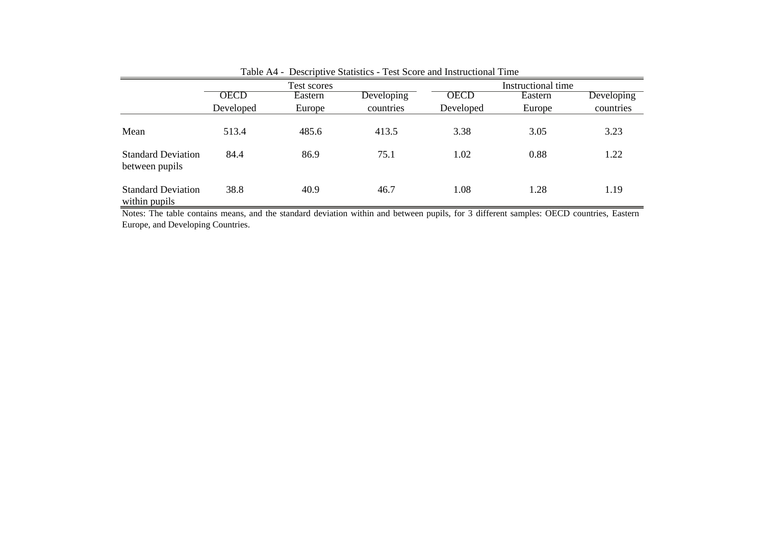|                                             | 1001011   | Descriptive Diamstres |                   | <b>Test Deore and moderational Thine</b> |                    |                   |
|---------------------------------------------|-----------|-----------------------|-------------------|------------------------------------------|--------------------|-------------------|
|                                             |           | Test scores           |                   |                                          | Instructional time |                   |
|                                             | OECD      | Eastern               | <b>Developing</b> | <b>OECD</b>                              | Eastern            | <b>Developing</b> |
|                                             | Developed | Europe                | countries         | Developed                                | Europe             | countries         |
| Mean                                        | 513.4     | 485.6                 | 413.5             | 3.38                                     | 3.05               | 3.23              |
| <b>Standard Deviation</b><br>between pupils | 84.4      | 86.9                  | 75.1              | 1.02                                     | 0.88               | 1.22              |
| <b>Standard Deviation</b><br>within pupils  | 38.8      | 40.9                  | 46.7              | 1.08                                     | 1.28               | 1.19              |

Table A4 - Descriptive Statistics - Test Score and Instructional Time

Notes: The table contains means, and the standard deviation within and between pupils, for 3 different samples: OECD countries, Eastern Europe, and Developing Countries.